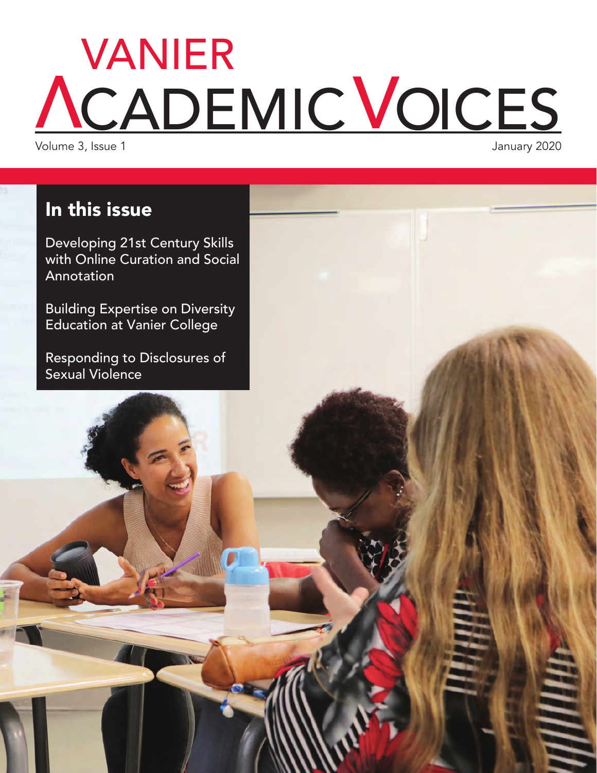# CADEMIC VOICES VANIER

Volume 3, Issue 1

### In this issue

Developing 21st Century Skills with Online Curation and Social Annotation

Building Expertise on Diversity Education at Vanier College

Responding to Disclosures of Sexual Violence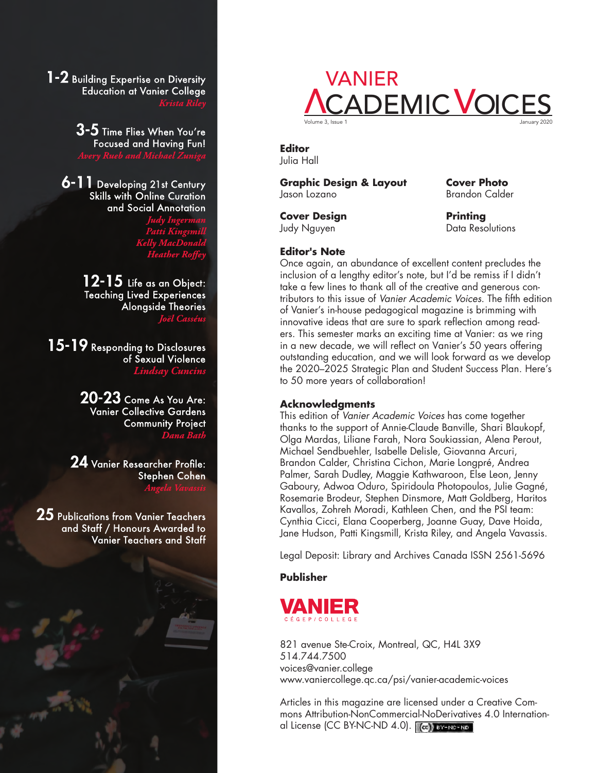$1-2$  Building Expertise on Diversity **Education at Vanier College** 

> $\mathbf{3}\text{-}\mathbf{5}$  Time Flies When You're **Focused and Having Fun!**

6-11 Developing 21st Century Skills with Online Curation and Social Annotation

> 12-15 Life as an Object: **Teaching Lived Experiences Alongside Theories Joël Cass**

15-19 Responding to Disclosures of Sexual Violence Lindsay Cuncins

> $20 - 23$  Come As You Are: **Vanier Collective Gardens Community Project Dana Bath**

 ${\bf 24}$  Vanier Researcher Profile: **Stephen Cohen** 

25 Publications from Vanier Teachers and Staff / Honours Awarded to **Vanier Teachers and Staff** 



#### **Editor** Julia Hall

**Graphic Design & Layout** Jason Lozano

**Cover Design** Judy Nguyen

**Cover Photo** Brandon Calder

**Printing** Data Resolutions

#### **Editor's Note**

Once again, an abundance of excellent content precludes the inclusion of a lengthy editor's note, but I'd be remiss if I didn't take a few lines to thank all of the creative and generous contributors to this issue of Vanier Academic Voices. The fifth edition of Vanier's in-house pedagogical magazine is brimming with innovative ideas that are sure to spark reflection among readers. This semester marks an exciting time at Vanier: as we ring in a new decade, we will reflect on Vanier's 50 years offering outstanding education, and we will look forward as we develop the 2020–2025 Strategic Plan and Student Success Plan. Here's to 50 more years of collaboration!

#### **Acknowledgments**

This edition of Vanier Academic Voices has come together thanks to the support of Annie-Claude Banville, Shari Blaukopf, Olga Mardas, Liliane Farah, Nora Soukiassian, Alena Perout, Michael Sendbuehler, Isabelle Delisle, Giovanna Arcuri, Brandon Calder, Christina Cichon, Marie Longpré, Andrea Palmer, Sarah Dudley, Maggie Kathwaroon, Else Leon, Jenny Gaboury, Adwoa Oduro, Spiridoula Photopoulos, Julie Gagné, Rosemarie Brodeur, Stephen Dinsmore, Matt Goldberg, Haritos Kavallos, Zohreh Moradi, Kathleen Chen, and the PSI team: Cynthia Cicci, Elana Cooperberg, Joanne Guay, Dave Hoida, Jane Hudson, Patti Kingsmill, Krista Riley, and Angela Vavassis.

Legal Deposit: Library and Archives Canada ISSN 2561-5696

#### **Publisher**



821 avenue Ste-Croix, Montreal, QC, H4L 3X9 514.744.7500 [voices@vanier.college](mailto:voices@vanier.college) [www.vaniercollege.qc.ca/psi/vanier-academic-voices](http://www.vaniercollege.qc.ca/psi/vanier-academic-voices)

Articles in this magazine are licensed under a Creative Commons Attribution-NonCommercial-NoDerivatives 4.0 International License (CC BY-NC-ND 4.0). To BY-NO-ND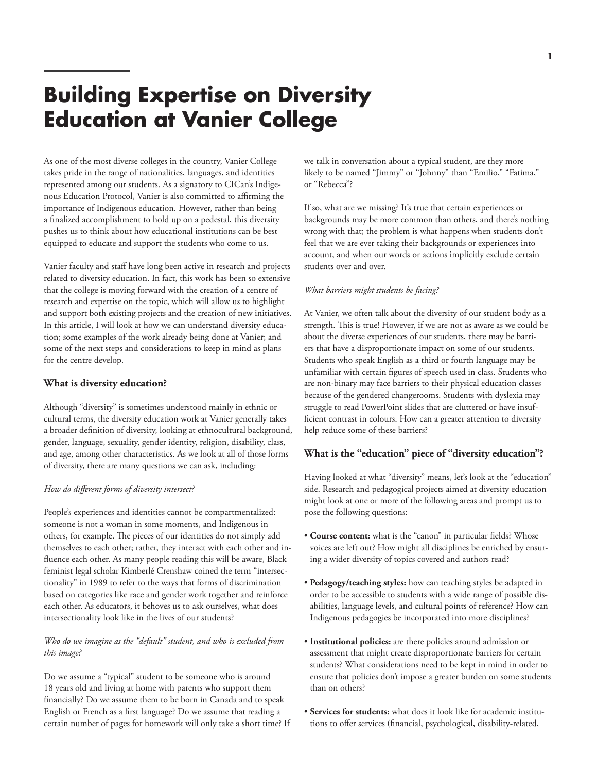### **Building Expertise on Diversity Education at Vanier College**

As one of the most diverse colleges in the country, Vanier College takes pride in the range of nationalities, languages, and identities represented among our students. As a signatory to CICan's Indigenous Education Protocol, Vanier is also committed to affirming the importance of Indigenous education. However, rather than being a finalized accomplishment to hold up on a pedestal, this diversity pushes us to think about how educational institutions can be best equipped to educate and support the students who come to us.

Vanier faculty and staff have long been active in research and projects related to diversity education. In fact, this work has been so extensive that the college is moving forward with the creation of a centre of research and expertise on the topic, which will allow us to highlight and support both existing projects and the creation of new initiatives. In this article, I will look at how we can understand diversity education; some examples of the work already being done at Vanier; and some of the next steps and considerations to keep in mind as plans for the centre develop.

#### **What is diversity education?**

Although "diversity" is sometimes understood mainly in ethnic or cultural terms, the diversity education work at Vanier generally takes a broader definition of diversity, looking at ethnocultural background, gender, language, sexuality, gender identity, religion, disability, class, and age, among other characteristics. As we look at all of those forms of diversity, there are many questions we can ask, including:

#### *How do different forms of diversity intersect?*

People's experiences and identities cannot be compartmentalized: someone is not a woman in some moments, and Indigenous in others, for example. The pieces of our identities do not simply add themselves to each other; rather, they interact with each other and influence each other. As many people reading this will be aware, Black feminist legal scholar Kimberlé Crenshaw coined the term "intersectionality" in 1989 to refer to the ways that forms of discrimination based on categories like race and gender work together and reinforce each other. As educators, it behoves us to ask ourselves, what does intersectionality look like in the lives of our students?

#### *Who do we imagine as the "default" student, and who is excluded from this image?*

Do we assume a "typical" student to be someone who is around 18 years old and living at home with parents who support them financially? Do we assume them to be born in Canada and to speak English or French as a first language? Do we assume that reading a certain number of pages for homework will only take a short time? If we talk in conversation about a typical student, are they more likely to be named "Jimmy" or "Johnny" than "Emilio," "Fatima," or "Rebecca"?

If so, what are we missing? It's true that certain experiences or backgrounds may be more common than others, and there's nothing wrong with that; the problem is what happens when students don't feel that we are ever taking their backgrounds or experiences into account, and when our words or actions implicitly exclude certain students over and over.

#### *What barriers might students be facing?*

At Vanier, we often talk about the diversity of our student body as a strength. This is true! However, if we are not as aware as we could be about the diverse experiences of our students, there may be barriers that have a disproportionate impact on some of our students. Students who speak English as a third or fourth language may be unfamiliar with certain figures of speech used in class. Students who are non-binary may face barriers to their physical education classes because of the gendered changerooms. Students with dyslexia may struggle to read PowerPoint slides that are cluttered or have insufficient contrast in colours. How can a greater attention to diversity help reduce some of these barriers?

#### **What is the "education" piece of "diversity education"?**

Having looked at what "diversity" means, let's look at the "education" side. Research and pedagogical projects aimed at diversity education might look at one or more of the following areas and prompt us to pose the following questions:

- **Course content:** what is the "canon" in particular fields? Whose voices are left out? How might all disciplines be enriched by ensuring a wider diversity of topics covered and authors read?
- **Pedagogy/teaching styles:** how can teaching styles be adapted in order to be accessible to students with a wide range of possible disabilities, language levels, and cultural points of reference? How can Indigenous pedagogies be incorporated into more disciplines?
- **Institutional policies:** are there policies around admission or assessment that might create disproportionate barriers for certain students? What considerations need to be kept in mind in order to ensure that policies don't impose a greater burden on some students than on others?
- **Services for students:** what does it look like for academic institutions to offer services (financial, psychological, disability-related,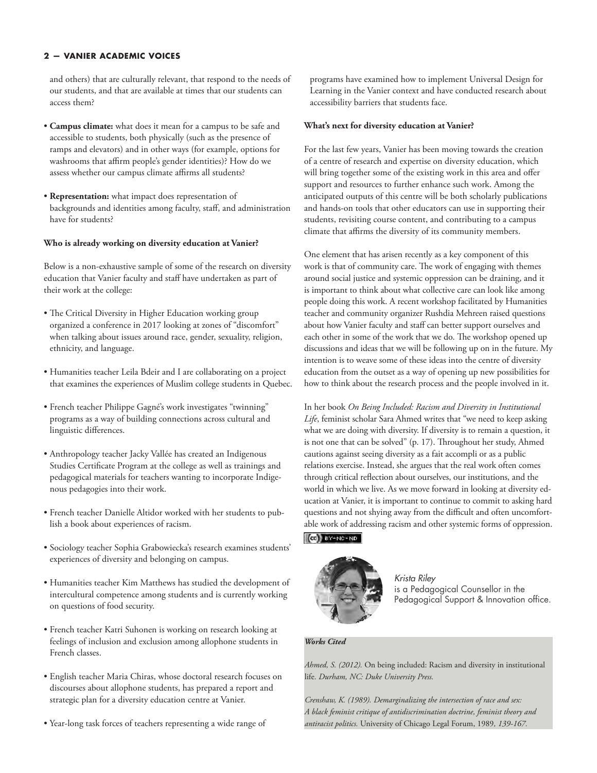and others) that are culturally relevant, that respond to the needs of our students, and that are available at times that our students can access them?

- **Campus climate:** what does it mean for a campus to be safe and accessible to students, both physically (such as the presence of ramps and elevators) and in other ways (for example, options for washrooms that affirm people's gender identities)? How do we assess whether our campus climate affirms all students?
- **Representation:** what impact does representation of backgrounds and identities among faculty, staff, and administration have for students?

#### **Who is already working on diversity education at Vanier?**

Below is a non-exhaustive sample of some of the research on diversity education that Vanier faculty and staff have undertaken as part of their work at the college:

- The Critical Diversity in Higher Education working group organized a conference in 2017 looking at zones of "discomfort" when talking about issues around race, gender, sexuality, religion, ethnicity, and language.
- Humanities teacher Leila Bdeir and I are collaborating on a project that examines the experiences of Muslim college students in Quebec.
- French teacher Philippe Gagné's work investigates "twinning" programs as a way of building connections across cultural and linguistic differences.
- Anthropology teacher Jacky Vallée has created an Indigenous Studies Certificate Program at the college as well as trainings and pedagogical materials for teachers wanting to incorporate Indigenous pedagogies into their work.
- French teacher Danielle Altidor worked with her students to publish a book about experiences of racism.
- Sociology teacher Sophia Grabowiecka's research examines students' experiences of diversity and belonging on campus.
- Humanities teacher Kim Matthews has studied the development of intercultural competence among students and is currently working on questions of food security.
- French teacher Katri Suhonen is working on research looking at feelings of inclusion and exclusion among allophone students in French classes.
- English teacher Maria Chiras, whose doctoral research focuses on discourses about allophone students, has prepared a report and strategic plan for a diversity education centre at Vanier.
- Year-long task forces of teachers representing a wide range of

programs have examined how to implement Universal Design for Learning in the Vanier context and have conducted research about accessibility barriers that students face.

#### **What's next for diversity education at Vanier?**

For the last few years, Vanier has been moving towards the creation of a centre of research and expertise on diversity education, which will bring together some of the existing work in this area and offer support and resources to further enhance such work. Among the anticipated outputs of this centre will be both scholarly publications and hands-on tools that other educators can use in supporting their students, revisiting course content, and contributing to a campus climate that affirms the diversity of its community members.

One element that has arisen recently as a key component of this work is that of community care. The work of engaging with themes around social justice and systemic oppression can be draining, and it is important to think about what collective care can look like among people doing this work. A recent workshop facilitated by Humanities teacher and community organizer Rushdia Mehreen raised questions about how Vanier faculty and staff can better support ourselves and each other in some of the work that we do. The workshop opened up discussions and ideas that we will be following up on in the future. My intention is to weave some of these ideas into the centre of diversity education from the outset as a way of opening up new possibilities for how to think about the research process and the people involved in it.

In her book *On Being Included: Racism and Diversity in Institutional Life*, feminist scholar Sara Ahmed writes that "we need to keep asking what we are doing with diversity. If diversity is to remain a question, it is not one that can be solved" (p. 17). Throughout her study, Ahmed cautions against seeing diversity as a fait accompli or as a public relations exercise. Instead, she argues that the real work often comes through critical reflection about ourselves, our institutions, and the world in which we live. As we move forward in looking at diversity education at Vanier, it is important to continue to commit to asking hard questions and not shying away from the difficult and often uncomfortable work of addressing racism and other systemic forms of oppression.

#### $(G)$  BY-NC-ND



*Krista Riley*  is a Pedagogical Counsellor in the Pedagogical Support & Innovation office.

#### *Works Cited*

*Ahmed, S. (2012).* On being included: Racism and diversity in institutional life*. Durham, NC: Duke University Press.*

*Crenshaw, K. (1989). Demarginalizing the intersection of race and sex: A black feminist critique of antidiscrimination doctrine, feminist theory and antiracist politics.* University of Chicago Legal Forum, 1989*, 139-167.*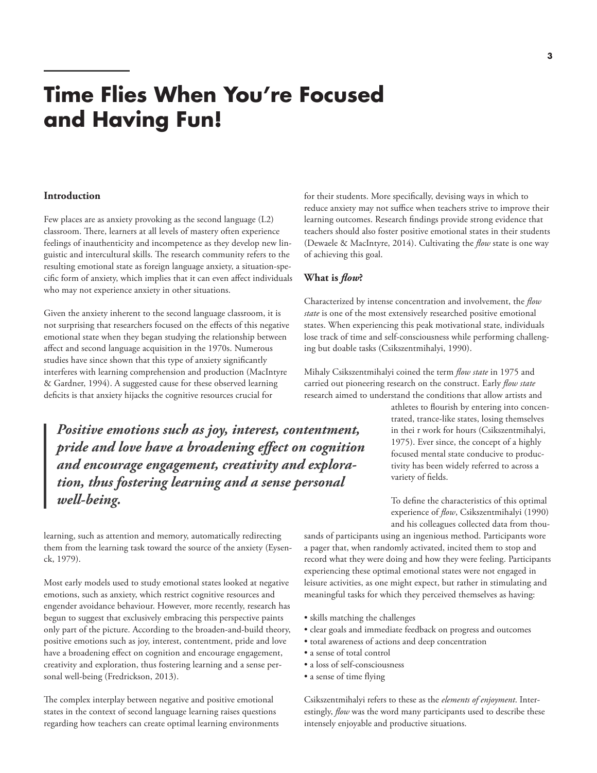## **Time Flies When You're Focused and Having Fun!**

#### **Introduction**

Few places are as anxiety provoking as the second language (L2) classroom. There, learners at all levels of mastery often experience feelings of inauthenticity and incompetence as they develop new linguistic and intercultural skills. The research community refers to the resulting emotional state as foreign language anxiety, a situation-specific form of anxiety, which implies that it can even affect individuals who may not experience anxiety in other situations.

Given the anxiety inherent to the second language classroom, it is not surprising that researchers focused on the effects of this negative emotional state when they began studying the relationship between affect and second language acquisition in the 1970s. Numerous studies have since shown that this type of anxiety significantly interferes with learning comprehension and production (MacIntyre & Gardner, 1994). A suggested cause for these observed learning deficits is that anxiety hijacks the cognitive resources crucial for

*Positive emotions such as joy, interest, contentment, pride and love have a broadening effect on cognition and encourage engagement, creativity and exploration, thus fostering learning and a sense personal well-being.*

learning, such as attention and memory, automatically redirecting them from the learning task toward the source of the anxiety (Eysenck, 1979).

Most early models used to study emotional states looked at negative emotions, such as anxiety, which restrict cognitive resources and engender avoidance behaviour. However, more recently, research has begun to suggest that exclusively embracing this perspective paints only part of the picture. According to the broaden-and-build theory, positive emotions such as joy, interest, contentment, pride and love have a broadening effect on cognition and encourage engagement, creativity and exploration, thus fostering learning and a sense personal well-being (Fredrickson, 2013).

The complex interplay between negative and positive emotional states in the context of second language learning raises questions regarding how teachers can create optimal learning environments for their students. More specifically, devising ways in which to reduce anxiety may not suffice when teachers strive to improve their learning outcomes. Research findings provide strong evidence that teachers should also foster positive emotional states in their students (Dewaele & MacIntyre, 2014). Cultivating the *flow* state is one way of achieving this goal.

#### **What is** *flow***?**

Characterized by intense concentration and involvement, the *flow state* is one of the most extensively researched positive emotional states. When experiencing this peak motivational state, individuals lose track of time and self-consciousness while performing challenging but doable tasks (Csikszentmihalyi, 1990).

Mihaly Csikszentmihalyi coined the term *flow state* in 1975 and carried out pioneering research on the construct. Early *flow state* research aimed to understand the conditions that allow artists and

> athletes to flourish by entering into concentrated, trance-like states, losing themselves in thei r work for hours (Csikszentmihalyi, 1975). Ever since, the concept of a highly focused mental state conducive to productivity has been widely referred to across a variety of fields.

> To define the characteristics of this optimal experience of *flow*, Csikszentmihalyi (1990) and his colleagues collected data from thou-

sands of participants using an ingenious method. Participants wore a pager that, when randomly activated, incited them to stop and record what they were doing and how they were feeling. Participants experiencing these optimal emotional states were not engaged in leisure activities, as one might expect, but rather in stimulating and meaningful tasks for which they perceived themselves as having:

- skills matching the challenges
- clear goals and immediate feedback on progress and outcomes
- total awareness of actions and deep concentration
- a sense of total control
- a loss of self-consciousness
- a sense of time flying

Csikszentmihalyi refers to these as the *elements of enjoyment*. Interestingly, *flow* was the word many participants used to describe these intensely enjoyable and productive situations.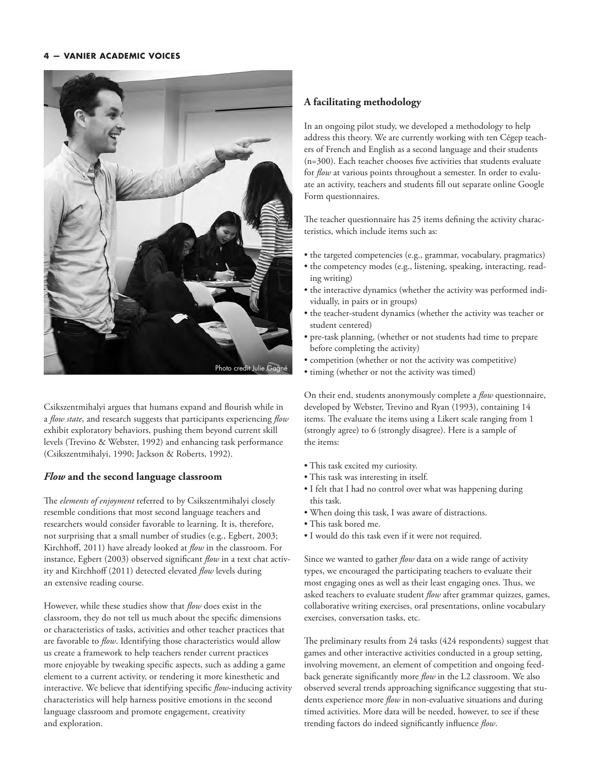

Csikszentmihalyi argues that humans expand and flourish while in a *flow state*, and research suggests that participants experiencing *flow* exhibit exploratory behaviors, pushing them beyond current skill levels (Trevino & Webster, 1992) and enhancing task performance (Csikszentmihalyi, 1990; Jackson & Roberts, 1992).

#### *Flow* **and the second language classroom**

The *elements of enjoyment* referred to by Csikszentmihalyi closely resemble conditions that most second language teachers and researchers would consider favorable to learning. It is, therefore, not surprising that a small number of studies (e.g., Egbert, 2003; Kirchhoff, 2011) have already looked at *flow* in the classroom. For instance, Egbert (2003) observed significant *flow* in a text chat activity and Kirchhoff (2011) detected elevated *flow* levels during an extensive reading course.

However, while these studies show that *flow* does exist in the classroom, they do not tell us much about the specific dimensions or characteristics of tasks, activities and other teacher practices that are favorable to *flow*. Identifying those characteristics would allow us create a framework to help teachers render current practices more enjoyable by tweaking specific aspects, such as adding a game element to a current activity, or rendering it more kinesthetic and interactive. We believe that identifying specific *flow*-inducing activity characteristics will help harness positive emotions in the second language classroom and promote engagement, creativity and exploration.

#### **A facilitating methodology**

In an ongoing pilot study, we developed a methodology to help address this theory. We are currently working with ten Cégep teachers of French and English as a second language and their students (n=300). Each teacher chooses five activities that students evaluate for *flow* at various points throughout a semester. In order to evaluate an activity, teachers and students fill out separate online Google Form questionnaires.

The teacher questionnaire has 25 items defining the activity characteristics, which include items such as:

- the targeted competencies (e.g., grammar, vocabulary, pragmatics)
- the competency modes (e.g., listening, speaking, interacting, reading writing)
- the interactive dynamics (whether the activity was performed individually, in pairs or in groups)
- the teacher-student dynamics (whether the activity was teacher or student centered)
- pre-task planning, (whether or not students had time to prepare before completing the activity)
- competition (whether or not the activity was competitive)
- timing (whether or not the activity was timed)

On their end, students anonymously complete a *flow* questionnaire, developed by Webster, Trevino and Ryan (1993), containing 14 items. The evaluate the items using a Likert scale ranging from 1 (strongly agree) to 6 (strongly disagree). Here is a sample of the items:

- This task excited my curiosity.
- This task was interesting in itself.
- I felt that I had no control over what was happening during this task.
- When doing this task, I was aware of distractions.
- This task bored me.
- I would do this task even if it were not required.

Since we wanted to gather *flow* data on a wide range of activity types, we encouraged the participating teachers to evaluate their most engaging ones as well as their least engaging ones. Thus, we asked teachers to evaluate student *flow* after grammar quizzes, games, collaborative writing exercises, oral presentations, online vocabulary exercises, conversation tasks, etc.

The preliminary results from 24 tasks (424 respondents) suggest that games and other interactive activities conducted in a group setting, involving movement, an element of competition and ongoing feedback generate significantly more *flow* in the L2 classroom. We also observed several trends approaching significance suggesting that students experience more *flow* in non-evaluative situations and during timed activities. More data will be needed, however, to see if these trending factors do indeed significantly influence *flow*.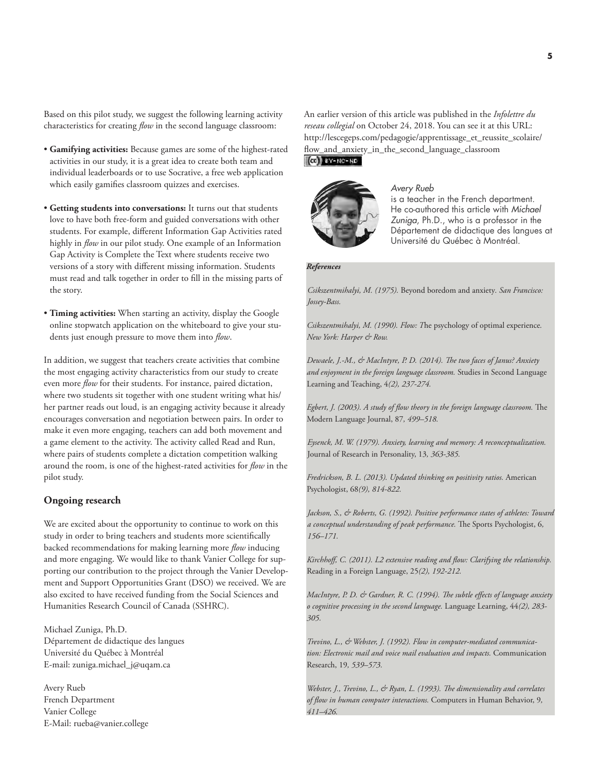Based on this pilot study, we suggest the following learning activity characteristics for creating *flow* in the second language classroom:

- **Gamifying activities:** Because games are some of the highest-rated activities in our study, it is a great idea to create both team and individual leaderboards or to use Socrative, a free web application which easily gamifies classroom quizzes and exercises.
- **Getting students into conversations:** It turns out that students love to have both free-form and guided conversations with other students. For example, different Information Gap Activities rated highly in *flow* in our pilot study. One example of an Information Gap Activity is Complete the Text where students receive two versions of a story with different missing information. Students must read and talk together in order to fill in the missing parts of the story.
- **Timing activities:** When starting an activity, display the Google online stopwatch application on the whiteboard to give your students just enough pressure to move them into *flow*.

In addition, we suggest that teachers create activities that combine the most engaging activity characteristics from our study to create even more *flow* for their students. For instance, paired dictation, where two students sit together with one student writing what his/ her partner reads out loud, is an engaging activity because it already encourages conversation and negotiation between pairs. In order to make it even more engaging, teachers can add both movement and a game element to the activity. The activity called Read and Run, where pairs of students complete a dictation competition walking around the room, is one of the highest-rated activities for *flow* in the pilot study.

#### **Ongoing research**

We are excited about the opportunity to continue to work on this study in order to bring teachers and students more scientifically backed recommendations for making learning more *flow* inducing and more engaging. We would like to thank Vanier College for supporting our contribution to the project through the Vanier Development and Support Opportunities Grant (DSO) we received. We are also excited to have received funding from the Social Sciences and Humanities Research Council of Canada (SSHRC).

Michael Zuniga, Ph.D. Département de didactique des langues Université du Québec à Montréal E-mail[: zuniga.michael\\_j@uqam.ca](mailto:zuniga.michael_j@uqam.ca)

Avery Rueb French Department Vanier College E-Mail: [rueba@vanier.college](mailto:rueba@vanier.college) An earlier version of this article was published in the *Infolettre du reseau collegial* on October 24, 2018. You can see it at this URL: [http://lescegeps.com/pedagogie/apprentissage\\_et\\_reussite\\_scolaire/](http://lescegeps.com/pedagogie/apprentissage_et_reussite_scolaire/flow_and_anxiety_in_the_second_language_classroom) [flow\\_and\\_anxiety\\_in\\_the\\_second\\_language\\_classroom](http://lescegeps.com/pedagogie/apprentissage_et_reussite_scolaire/flow_and_anxiety_in_the_second_language_classroom)  $(G)$  BY-NC-ND



*Avery Rueb* is a teacher in the French department. He co-authored this article with *Michael Zuniga*, Ph.D., who is a professor in the Département de didactique des langues at Université du Québec à Montréal.

#### *References*

*Csikszentmihalyi, M. (1975).* Beyond boredom and anxiety*. San Francisco: Jossey-Bass.*

*Csikszentmihalyi, M. (1990). Flow: T*he psychology of optimal experience*. New York: Harper & Row.*

*Dewaele, J.-M., & MacIntyre, P. D. (2014). The two faces of Janus? Anxiety and enjoyment in the foreign language classroom.* Studies in Second Language Learning and Teaching, 4*(2), 237-274.*

*Egbert, J. (2003). A study of flow theory in the foreign language classroom.* The Modern Language Journal, 87*, 499–518.*

*Eysenck, M. W. (1979). Anxiety, learning and memory: A reconceptualization.*  Journal of Research in Personality, 13*, 363-385.*

*Fredrickson, B. L. (2013). Updated thinking on positivity ratios.* American Psychologist, 68*(9), 814-822.*

*Jackson, S., & Roberts, G. (1992). Positive performance states of athletes: Toward a conceptual understanding of peak performance.* The Sports Psychologist, 6*, 156–171.*

*Kirchhoff, C. (2011). L2 extensive reading and flow: Clarifying the relationship.*  Reading in a Foreign Language, 25*(2), 192-212.*

*MacIntyre, P. D. & Gardner, R. C. (1994). The subtle effects of language anxiety o cognitive processing in the second language.* Language Learning, 44*(2), 283- 305.*

*Trevino, L., & Webster, J. (1992). Flow in computer-mediated communication: Electronic mail and voice mail evaluation and impacts.* Communication Research, 19*, 539–573.*

*Webster, J., Trevino, L., & Ryan, L. (1993). The dimensionality and correlates of flow in human computer interactions.* Computers in Human Behavior, 9*, 411–426.*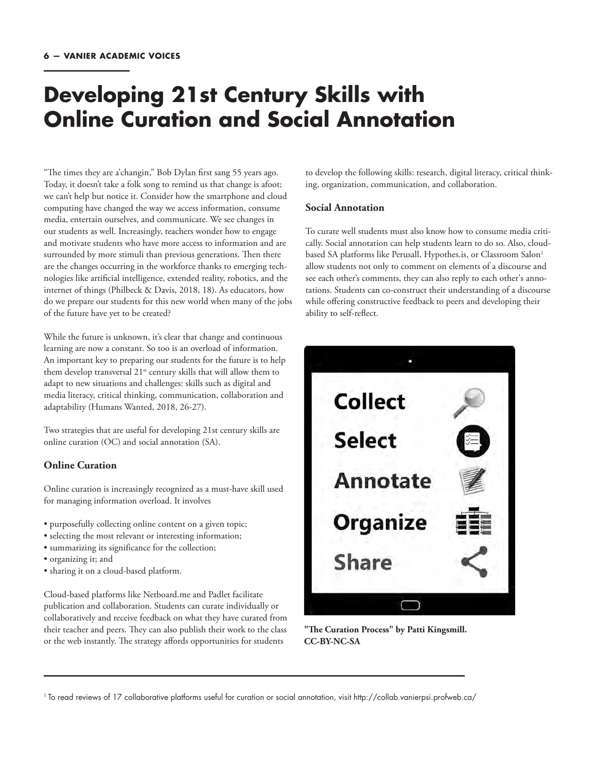### **Developing 21st Century Skills with Online Curation and Social Annotation**

"The times they are a'changin," Bob Dylan first sang 55 years ago. Today, it doesn't take a folk song to remind us that change is afoot; we can't help but notice it. Consider how the smartphone and cloud computing have changed the way we access information, consume media, entertain ourselves, and communicate. We see changes in our students as well. Increasingly, teachers wonder how to engage and motivate students who have more access to information and are surrounded by more stimuli than previous generations. Then there are the changes occurring in the workforce thanks to emerging technologies like artificial intelligence, extended reality, robotics, and the internet of things (Philbeck & Davis, 2018, 18). As educators, how do we prepare our students for this new world when many of the jobs of the future have yet to be created?

While the future is unknown, it's clear that change and continuous learning are now a constant. So too is an overload of information. An important key to preparing our students for the future is to help them develop transversal 21<sup>st</sup> century skills that will allow them to adapt to new situations and challenges: skills such as digital and media literacy, critical thinking, communication, collaboration and adaptability (Humans Wanted, 2018, 26-27).

Two strategies that are useful for developing 21st century skills are online curation (OC) and social annotation (SA).

#### **Online Curation**

Online curation is increasingly recognized as a must-have skill used for managing information overload. It involves

- purposefully collecting online content on a given topic;
- selecting the most relevant or interesting information;
- summarizing its significance for the collection;
- organizing it; and
- sharing it on a cloud-based platform.

Cloud-based platforms like Netboard.me and Padlet facilitate publication and collaboration. Students can curate individually or collaboratively and receive feedback on what they have curated from their teacher and peers. They can also publish their work to the class or the web instantly. The strategy affords opportunities for students

to develop the following skills: research, digital literacy, critical thinking, organization, communication, and collaboration.

#### **Social Annotation**

To curate well students must also know how to consume media critically. Social annotation can help students learn to do so. Also, cloudbased SA platforms like Perusall, Hypothes.is, or Classroom Salon<sup>1</sup> allow students not only to comment on elements of a discourse and see each other's comments, they can also reply to each other's annotations. Students can co-construct their understanding of a discourse while offering constructive feedback to peers and developing their ability to self-reflect.



**"The Curation Process" by Patti Kingsmill. CC-BY-NC-SA**

1 To read reviews of 17 collaborative platforms useful for curation or social annotation, visit<http://collab.vanierpsi.profweb.ca/>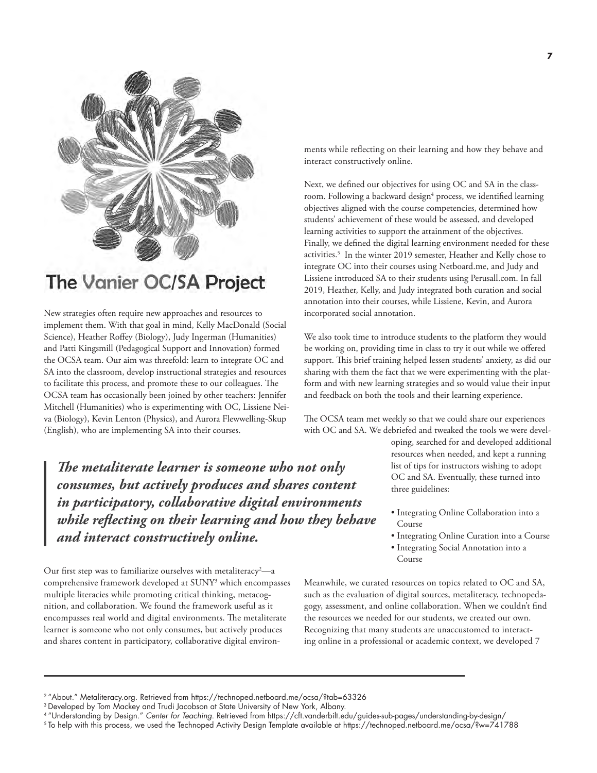

### The Vanier OC/SA Project

New strategies often require new approaches and resources to implement them. With that goal in mind, Kelly MacDonald (Social Science), Heather Roffey (Biology), Judy Ingerman (Humanities) and Patti Kingsmill (Pedagogical Support and Innovation) formed the OCSA team. Our aim was threefold: learn to integrate OC and SA into the classroom, develop instructional strategies and resources to facilitate this process, and promote these to our colleagues. The OCSA team has occasionally been joined by other teachers: Jennifer Mitchell (Humanities) who is experimenting with OC, Lissiene Neiva (Biology), Kevin Lenton (Physics), and Aurora Flewwelling-Skup (English), who are implementing SA into their courses.

*The metaliterate learner is someone who not only consumes, but actively produces and shares content in participatory, collaborative digital environments while reflecting on their learning and how they behave and interact constructively online.* 

Our first step was to familiarize ourselves with metaliteracy<sup>2</sup>—a comprehensive framework developed at SUNY3 which encompasses multiple literacies while promoting critical thinking, metacognition, and collaboration. We found the framework useful as it encompasses real world and digital environments. The metaliterate learner is someone who not only consumes, but actively produces and shares content in participatory, collaborative digital environments while reflecting on their learning and how they behave and interact constructively online.

Next, we defined our objectives for using OC and SA in the classroom. Following a backward design<sup>4</sup> process, we identified learning objectives aligned with the course competencies, determined how students' achievement of these would be assessed, and developed learning activities to support the attainment of the objectives. Finally, we defined the digital learning environment needed for these activities.<sup>5</sup> In the winter 2019 semester, Heather and Kelly chose to integrate OC into their courses using Netboard.me, and Judy and Lissiene introduced SA to their students using Perusall.com. In fall 2019, Heather, Kelly, and Judy integrated both curation and social annotation into their courses, while Lissiene, Kevin, and Aurora incorporated social annotation.

We also took time to introduce students to the platform they would be working on, providing time in class to try it out while we offered support. This brief training helped lessen students' anxiety, as did our sharing with them the fact that we were experimenting with the platform and with new learning strategies and so would value their input and feedback on both the tools and their learning experience.

The OCSA team met weekly so that we could share our experiences with OC and SA. We debriefed and tweaked the tools we were devel-

oping, searched for and developed additional resources when needed, and kept a running list of tips for instructors wishing to adopt OC and SA. Eventually, these turned into three guidelines:

- Integrating Online Collaboration into a Course
- Integrating Online Curation into a Course
- Integrating Social Annotation into a Course

Meanwhile, we curated resources on topics related to OC and SA, such as the evaluation of digital sources, metaliteracy, technopedagogy, assessment, and online collaboration. When we couldn't find the resources we needed for our students, we created our own. Recognizing that many students are unaccustomed to interacting online in a professional or academic context, we developed 7

<sup>2</sup>"About." Metaliteracy.org. Retrieved from<https://technoped.netboard.me/ocsa/?tab=63326>

 $^3$ Developed by Tom Mackey and Trudi Jacobson at State University of New York, Albany.

<sup>4</sup>"Understanding by Design." Center for Teaching. Retrieved from<https://cft.vanderbilt.edu/guides-sub-pages/understanding-by-design/>

<sup>5</sup> To help with this process, we used the Technoped Activity Design Template available at<https://technoped.netboard.me/ocsa/?w=741788>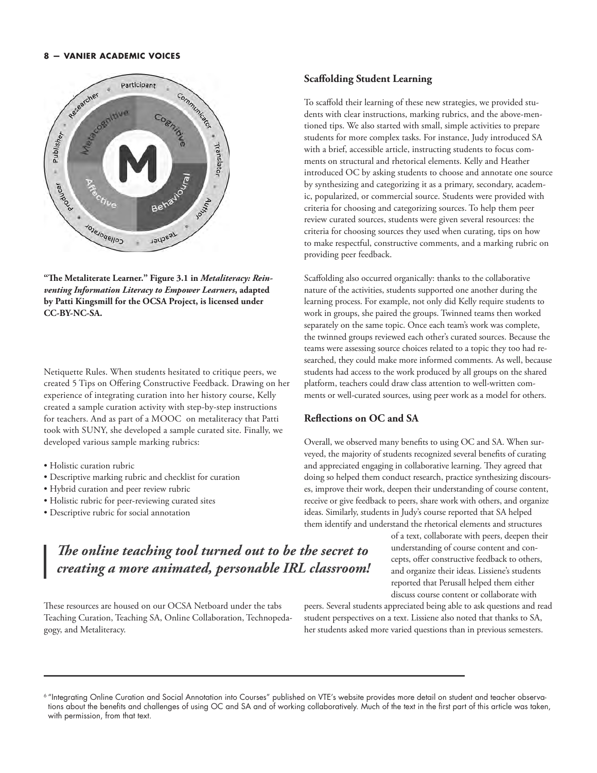

**"The Metaliterate Learner." Figure 3.1 in** *Metaliteracy: Reinventing Information Literacy to Empower Learners***, adapted by Patti Kingsmill for the OCSA Project, is licensed under CC-BY-NC-SA.**

Netiquette Rules. When students hesitated to critique peers, we created 5 Tips on Offering Constructive Feedback. Drawing on her experience of integrating curation into her history course, Kelly created a sample curation activity with step-by-step instructions for teachers. And as part of a MOOC on metaliteracy that Patti took with SUNY, she developed a sample curated site. Finally, we developed various sample marking rubrics:

- Holistic curation rubric
- Descriptive marking rubric and checklist for curation
- Hybrid curation and peer review rubric
- Holistic rubric for peer-reviewing curated sites
- Descriptive rubric for social annotation

### *The online teaching tool turned out to be the secret to creating a more animated, personable IRL classroom!*

These resources are housed on our OCSA Netboard under the tabs Teaching Curation, Teaching SA, Online Collaboration, Technopedagogy, and Metaliteracy.

#### **Scaffolding Student Learning**

To scaffold their learning of these new strategies, we provided students with clear instructions, marking rubrics, and the above-mentioned tips. We also started with small, simple activities to prepare students for more complex tasks. For instance, Judy introduced SA with a brief, accessible article, instructing students to focus comments on structural and rhetorical elements. Kelly and Heather introduced OC by asking students to choose and annotate one source by synthesizing and categorizing it as a primary, secondary, academic, popularized, or commercial source. Students were provided with criteria for choosing and categorizing sources. To help them peer review curated sources, students were given several resources: the criteria for choosing sources they used when curating, tips on how to make respectful, constructive comments, and a marking rubric on providing peer feedback.

Scaffolding also occurred organically: thanks to the collaborative nature of the activities, students supported one another during the learning process. For example, not only did Kelly require students to work in groups, she paired the groups. Twinned teams then worked separately on the same topic. Once each team's work was complete, the twinned groups reviewed each other's curated sources. Because the teams were assessing source choices related to a topic they too had researched, they could make more informed comments. As well, because students had access to the work produced by all groups on the shared platform, teachers could draw class attention to well-written comments or well-curated sources, using peer work as a model for others.

#### **Reflections on OC and SA**

Overall, we observed many benefits to using OC and SA. When surveyed, the majority of students recognized several benefits of curating and appreciated engaging in collaborative learning. They agreed that doing so helped them conduct research, practice synthesizing discourses, improve their work, deepen their understanding of course content, receive or give feedback to peers, share work with others, and organize ideas. Similarly, students in Judy's course reported that SA helped them identify and understand the rhetorical elements and structures

> of a text, collaborate with peers, deepen their understanding of course content and concepts, offer constructive feedback to others, and organize their ideas. Lissiene's students reported that Perusall helped them either discuss course content or collaborate with

peers. Several students appreciated being able to ask questions and read student perspectives on a text. Lissiene also noted that thanks to SA, her students asked more varied questions than in previous semesters.

<sup>6</sup> "Integrating Online Curation and Social Annotation into Courses" published on VTE's website provides more detail on student and teacher observations about the benefits and challenges of using OC and SA and of working collaboratively. Much of the text in the first part of this article was taken, with permission, from that text.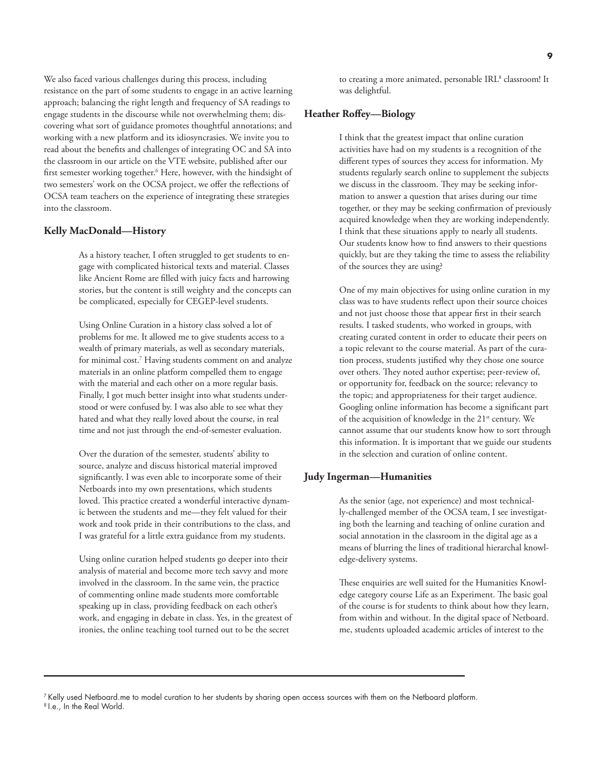We also faced various challenges during this process, including resistance on the part of some students to engage in an active learning approach; balancing the right length and frequency of SA readings to engage students in the discourse while not overwhelming them; discovering what sort of guidance promotes thoughtful annotations; and working with a new platform and its idiosyncrasies. We invite you to read about the benefits and challenges of integrating OC and SA into the classroom in our article on the VTE website, published after our first semester working together.<sup>6</sup> Here, however, with the hindsight of two semesters' work on the OCSA project, we offer the reflections of OCSA team teachers on the experience of integrating these strategies into the classroom.

#### **Kelly MacDonald—History**

 As a history teacher, I often struggled to get students to engage with complicated historical texts and material. Classes like Ancient Rome are filled with juicy facts and harrowing stories, but the content is still weighty and the concepts can be complicated, especially for CEGEP-level students.

 Using Online Curation in a history class solved a lot of problems for me. It allowed me to give students access to a wealth of primary materials, as well as secondary materials, for minimal cost.<sup>7</sup> Having students comment on and analyze materials in an online platform compelled them to engage with the material and each other on a more regular basis. Finally, I got much better insight into what students understood or were confused by. I was also able to see what they hated and what they really loved about the course, in real time and not just through the end-of-semester evaluation.

 Over the duration of the semester, students' ability to source, analyze and discuss historical material improved significantly. I was even able to incorporate some of their Netboards into my own presentations, which students loved. This practice created a wonderful interactive dynamic between the students and me—they felt valued for their work and took pride in their contributions to the class, and I was grateful for a little extra guidance from my students.

 Using online curation helped students go deeper into their analysis of material and become more tech savvy and more involved in the classroom. In the same vein, the practice of commenting online made students more comfortable speaking up in class, providing feedback on each other's work, and engaging in debate in class. Yes, in the greatest of ironies, the online teaching tool turned out to be the secret

to creating a more animated, personable IRL<sup>8</sup> classroom! It was delightful.

#### **Heather Roffey—Biology**

 I think that the greatest impact that online curation activities have had on my students is a recognition of the different types of sources they access for information. My students regularly search online to supplement the subjects we discuss in the classroom. They may be seeking information to answer a question that arises during our time together, or they may be seeking confirmation of previously acquired knowledge when they are working independently. I think that these situations apply to nearly all students. Our students know how to find answers to their questions quickly, but are they taking the time to assess the reliability of the sources they are using?

 One of my main objectives for using online curation in my class was to have students reflect upon their source choices and not just choose those that appear first in their search results. I tasked students, who worked in groups, with creating curated content in order to educate their peers on a topic relevant to the course material. As part of the curation process, students justified why they chose one source over others. They noted author expertise; peer-review of, or opportunity for, feedback on the source; relevancy to the topic; and appropriateness for their target audience. Googling online information has become a significant part of the acquisition of knowledge in the 21<sup>st</sup> century. We cannot assume that our students know how to sort through this information. It is important that we guide our students in the selection and curation of online content.

#### **Judy Ingerman—Humanities**

 As the senior (age, not experience) and most technically-challenged member of the OCSA team, I see investigating both the learning and teaching of online curation and social annotation in the classroom in the digital age as a means of blurring the lines of traditional hierarchal knowledge-delivery systems.

 These enquiries are well suited for the Humanities Knowledge category course Life as an Experiment. The basic goal of the course is for students to think about how they learn, from within and without. In the digital space of Netboard. me, students uploaded academic articles of interest to the

<sup>7</sup>Kelly used Netboard.me to model curation to her students by sharing open access sources with them on the Netboard platform. 8 I.e., In the Real World.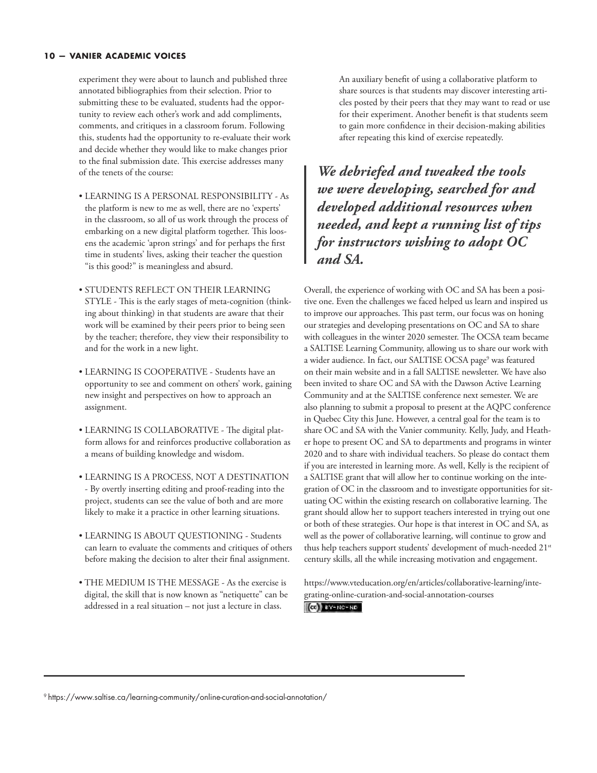experiment they were about to launch and published three annotated bibliographies from their selection. Prior to submitting these to be evaluated, students had the opportunity to review each other's work and add compliments, comments, and critiques in a classroom forum. Following this, students had the opportunity to re-evaluate their work and decide whether they would like to make changes prior to the final submission date. This exercise addresses many of the tenets of the course:

- LEARNING IS A PERSONAL RESPONSIBILITY As the platform is new to me as well, there are no 'experts' in the classroom, so all of us work through the process of embarking on a new digital platform together. This loosens the academic 'apron strings' and for perhaps the first time in students' lives, asking their teacher the question "is this good?" is meaningless and absurd.
- STUDENTS REFLECT ON THEIR LEARNING STYLE - This is the early stages of meta-cognition (thinking about thinking) in that students are aware that their work will be examined by their peers prior to being seen by the teacher; therefore, they view their responsibility to and for the work in a new light.
- LEARNING IS COOPERATIVE Students have an opportunity to see and comment on others' work, gaining new insight and perspectives on how to approach an assignment.
- LEARNING IS COLLABORATIVE The digital platform allows for and reinforces productive collaboration as a means of building knowledge and wisdom.
- LEARNING IS A PROCESS, NOT A DESTINATION - By overtly inserting editing and proof-reading into the project, students can see the value of both and are more likely to make it a practice in other learning situations.
- LEARNING IS ABOUT QUESTIONING Students can learn to evaluate the comments and critiques of others before making the decision to alter their final assignment.
- THE MEDIUM IS THE MESSAGE As the exercise is digital, the skill that is now known as "netiquette" can be addressed in a real situation – not just a lecture in class.

 An auxiliary benefit of using a collaborative platform to share sources is that students may discover interesting articles posted by their peers that they may want to read or use for their experiment. Another benefit is that students seem to gain more confidence in their decision-making abilities after repeating this kind of exercise repeatedly.

*We debriefed and tweaked the tools we were developing, searched for and developed additional resources when needed, and kept a running list of tips for instructors wishing to adopt OC and SA.*

Overall, the experience of working with OC and SA has been a positive one. Even the challenges we faced helped us learn and inspired us to improve our approaches. This past term, our focus was on honing our strategies and developing presentations on OC and SA to share with colleagues in the winter 2020 semester. The OCSA team became a SALTISE Learning Community, allowing us to share our work with a wider audience. In fact, our SALTISE OCSA page<sup>9</sup> was featured on their main website and in a fall SALTISE newsletter. We have also been invited to share OC and SA with the Dawson Active Learning Community and at the SALTISE conference next semester. We are also planning to submit a proposal to present at the AQPC conference in Quebec City this June. However, a central goal for the team is to share OC and SA with the Vanier community. Kelly, Judy, and Heather hope to present OC and SA to departments and programs in winter 2020 and to share with individual teachers. So please do contact them if you are interested in learning more. As well, Kelly is the recipient of a SALTISE grant that will allow her to continue working on the integration of OC in the classroom and to investigate opportunities for situating OC within the existing research on collaborative learning. The grant should allow her to support teachers interested in trying out one or both of these strategies. Our hope is that interest in OC and SA, as well as the power of collaborative learning, will continue to grow and thus help teachers support students' development of much-needed 21<sup>st</sup> century skills, all the while increasing motivation and engagement.

[https://www.vteducation.org/en/articles/collaborative-learning/inte](https://www.vteducation.org/en/articles/collaborative-learning/integrating-online-curation-and-social-annotation-courses)[grating-online-curation-and-social-annotation-courses](https://www.vteducation.org/en/articles/collaborative-learning/integrating-online-curation-and-social-annotation-courses)  $|$  (c)  $|$   $8Y - NC - ND$ 

<sup>9</sup><https://www.saltise.ca/learning-community/online-curation-and-social-annotation/>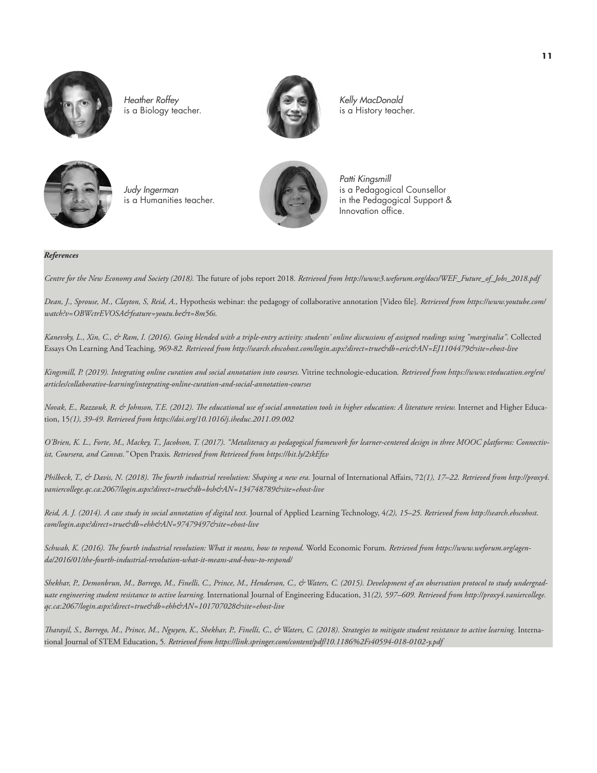

*Heather Roffey*  is a Biology teacher.



*Kelly MacDonald*  is a History teacher.



*Judy Ingerman*  is a Humanities teacher.



*Patti Kingsmill*  is a Pedagogical Counsellor in the Pedagogical Support & Innovation office.

#### *References*

*Centre for the New Economy and Society (2018).* The future of jobs report 2018*. Retrieved fro[m http://www3.weforum.org/docs/WEF\\_Future\\_of\\_Jobs\\_2018.pdf](http://www3.weforum.org/docs/WEF_Future_of_Jobs_2018.pdf)*

*Dean, J., Sprouse, M., Clayton, S, Reid, A.,* Hypothesis webinar: the pedagogy of collaborative annotation [Video file]*. Retrieved fro[m https://www.youtube.com/](https://www.youtube.com/watch?v=OBWctrEVOSA&feature=youtu.be&t=8m56s) [watch?v=OBWctrEVOSA&feature=youtu.be&t=8m56s.](https://www.youtube.com/watch?v=OBWctrEVOSA&feature=youtu.be&t=8m56s)* 

*Kanevsky, L., Xin, C., & Ram, I. (2016). Going blended with a triple-entry activity: students' online discussions of assigned readings using "marginalia".* Collected Essays On Learning And Teaching*, 969-82. Retrieved from<http://search.ebscohost.com/login.aspx?direct=true&db=eric&AN=EJ1104479&site=ehost-live>*

*Kingsmill, P. (2019). Integrating online curation and social annotation into courses.* Vitrine technologie-education*. Retrieved fro[m https://www.vteducation.org/en/](https://www.vteducation.org/en/articles/collaborative-learning/integrating-online-curation-and-social-annotation-courses) [articles/collaborative-learning/integrating-online-curation-and-social-annotation-courses](https://www.vteducation.org/en/articles/collaborative-learning/integrating-online-curation-and-social-annotation-courses)*

*Novak, E., Razzouk, R. & Johnson, T.E. (2012). The educational use of social annotation tools in higher education: A literature review.* Internet and Higher Education, 15*(1), 39-49. Retrieved from<https://doi.org/10.1016/j.iheduc.2011.09.002>*

*O'Brien, K. L., Forte, M., Mackey, T., Jacobson, T. (2017). "Metaliteracy as pedagogical framework for learner-centered design in three MOOC platforms: Connectivist, Coursera, and Canvas."* Open Praxis*. Retrieved from Retrieved fro[m https://bit.ly/2skEfzv](https://bit.ly/2skEfzv)*

*Philbeck, T., & Davis, N. (2018). The fourth industrial revolution: Shaping a new era.* Journal of International Affairs, 72*(1), 17–22. Retrieved fro[m http://proxy4.](http://proxy4.vaniercollege.qc.ca:2067/login.aspx?direct=true&db=bsh&AN=134748789&site=ehost-live) [vaniercollege.qc.ca:2067/login.aspx?direct=true&db=bsh&AN=134748789&site=ehost-live](http://proxy4.vaniercollege.qc.ca:2067/login.aspx?direct=true&db=bsh&AN=134748789&site=ehost-live)*

*Reid, A. J. (2014). A case study in social annotation of digital text.* Journal of Applied Learning Technology, 4*(2), 15–25. Retrieved from [http://search.ebscohost.](http://search.ebscohost.com/login.aspx?direct=true&db=ehh&AN=97479497&site=ehost-live) [com/login.aspx?direct=true&db=ehh&AN=97479497&site=ehost-live](http://search.ebscohost.com/login.aspx?direct=true&db=ehh&AN=97479497&site=ehost-live)*

*Schwab, K. (2016). The fourth industrial revolution: What it means, how to respond.* World Economic Forum*. Retrieved from [https://www.weforum.org/agen](https://www.weforum.org/agenda/2016/01/the-fourth-industrial-revolution-what-it-means-and-how-to-respond/)[da/2016/01/the-fourth-industrial-revolution-what-it-means-and-how-to-respond/](https://www.weforum.org/agenda/2016/01/the-fourth-industrial-revolution-what-it-means-and-how-to-respond/)*

*Shekhar, P., Demonbrun, M., Borrego, M., Finelli, C., Prince, M., Henderson, C., & Waters, C. (2015). Development of an observation protocol to study undergraduate engineering student resistance to active learning.* International Journal of Engineering Education, 31*(2), 597–609. Retrieved from [http://proxy4.vaniercollege.](http://proxy4.vaniercollege.qc.ca:2067/login.aspx?direct=true&db=ehh&AN=101707028&site=ehost-live) [qc.ca:2067/login.aspx?direct=true&db=ehh&AN=101707028&site=ehost-live](http://proxy4.vaniercollege.qc.ca:2067/login.aspx?direct=true&db=ehh&AN=101707028&site=ehost-live)*

*Tharayil, S., Borrego, M., Prince, M., Nguyen, K., Shekhar, P., Finelli, C., & Waters, C. (2018). Strategies to mitigate student resistance to active learning.* International Journal of STEM Education, 5*. Retrieved from<https://link.springer.com/content/pdf/10.1186%2Fs40594-018-0102-y.pdf>*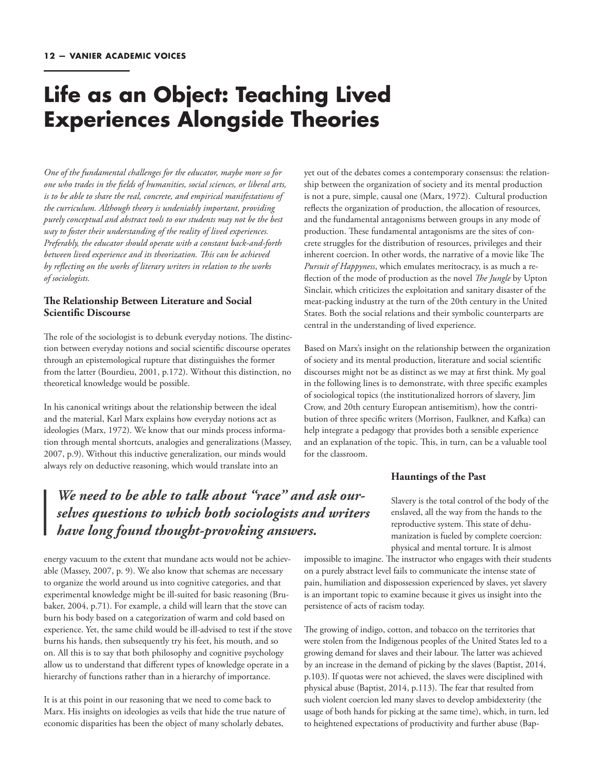### **Life as an Object: Teaching Lived Experiences Alongside Theories**

*One of the fundamental challenges for the educator, maybe more so for one who trades in the fields of humanities, social sciences, or liberal arts, is to be able to share the real, concrete, and empirical manifestations of the curriculum. Although theory is undeniably important, providing purely conceptual and abstract tools to our students may not be the best way to foster their understanding of the reality of lived experiences. Preferably, the educator should operate with a constant back-and-forth between lived experience and its theorization. This can be achieved by reflecting on the works of literary writers in relation to the works of sociologists.*

#### **The Relationship Between Literature and Social Scientific Discourse**

The role of the sociologist is to debunk everyday notions. The distinction between everyday notions and social scientific discourse operates through an epistemological rupture that distinguishes the former from the latter (Bourdieu, 2001, p.172). Without this distinction, no theoretical knowledge would be possible.

In his canonical writings about the relationship between the ideal and the material, Karl Marx explains how everyday notions act as ideologies (Marx, 1972). We know that our minds process information through mental shortcuts, analogies and generalizations (Massey, 2007, p.9). Without this inductive generalization, our minds would always rely on deductive reasoning, which would translate into an

yet out of the debates comes a contemporary consensus: the relationship between the organization of society and its mental production is not a pure, simple, causal one (Marx, 1972). Cultural production reflects the organization of production, the allocation of resources, and the fundamental antagonisms between groups in any mode of production. These fundamental antagonisms are the sites of concrete struggles for the distribution of resources, privileges and their inherent coercion. In other words, the narrative of a movie like The *Pursuit of Happyness*, which emulates meritocracy, is as much a reflection of the mode of production as the novel *The Jungle* by Upton Sinclair, which criticizes the exploitation and sanitary disaster of the meat-packing industry at the turn of the 20th century in the United States. Both the social relations and their symbolic counterparts are central in the understanding of lived experience.

Based on Marx's insight on the relationship between the organization of society and its mental production, literature and social scientific discourses might not be as distinct as we may at first think. My goal in the following lines is to demonstrate, with three specific examples of sociological topics (the institutionalized horrors of slavery, Jim Crow, and 20th century European antisemitism), how the contribution of three specific writers (Morrison, Faulkner, and Kafka) can help integrate a pedagogy that provides both a sensible experience and an explanation of the topic. This, in turn, can be a valuable tool for the classroom.

#### **Hauntings of the Past**

### *We need to be able to talk about "race" and ask ourselves questions to which both sociologists and writers have long found thought-provoking answers.*

energy vacuum to the extent that mundane acts would not be achievable (Massey, 2007, p. 9). We also know that schemas are necessary to organize the world around us into cognitive categories, and that experimental knowledge might be ill-suited for basic reasoning (Brubaker, 2004, p.71). For example, a child will learn that the stove can burn his body based on a categorization of warm and cold based on experience. Yet, the same child would be ill-advised to test if the stove burns his hands, then subsequently try his feet, his mouth, and so on. All this is to say that both philosophy and cognitive psychology allow us to understand that different types of knowledge operate in a hierarchy of functions rather than in a hierarchy of importance.

It is at this point in our reasoning that we need to come back to Marx. His insights on ideologies as veils that hide the true nature of economic disparities has been the object of many scholarly debates,

Slavery is the total control of the body of the enslaved, all the way from the hands to the reproductive system. This state of dehumanization is fueled by complete coercion: physical and mental torture. It is almost

impossible to imagine. The instructor who engages with their students on a purely abstract level fails to communicate the intense state of pain, humiliation and dispossession experienced by slaves, yet slavery is an important topic to examine because it gives us insight into the persistence of acts of racism today.

The growing of indigo, cotton, and tobacco on the territories that were stolen from the Indigenous peoples of the United States led to a growing demand for slaves and their labour. The latter was achieved by an increase in the demand of picking by the slaves (Baptist, 2014, p.103). If quotas were not achieved, the slaves were disciplined with physical abuse (Baptist, 2014, p.113). The fear that resulted from such violent coercion led many slaves to develop ambidexterity (the usage of both hands for picking at the same time), which, in turn, led to heightened expectations of productivity and further abuse (Bap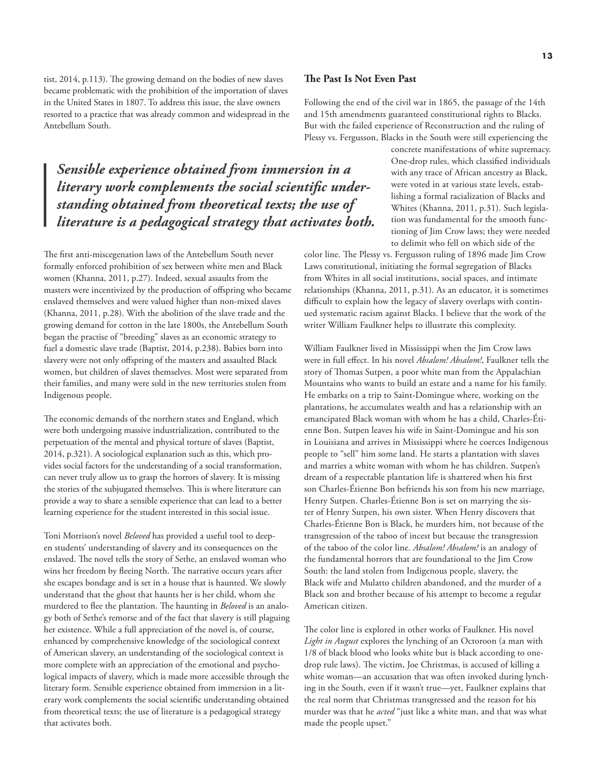tist, 2014, p.113). The growing demand on the bodies of new slaves became problematic with the prohibition of the importation of slaves in the United States in 1807. To address this issue, the slave owners resorted to a practice that was already common and widespread in the Antebellum South.

*Sensible experience obtained from immersion in a literary work complements the social scientific understanding obtained from theoretical texts; the use of literature is a pedagogical strategy that activates both.* 

The first anti-miscegenation laws of the Antebellum South never formally enforced prohibition of sex between white men and Black women (Khanna, 2011, p.27). Indeed, sexual assaults from the masters were incentivized by the production of offspring who became enslaved themselves and were valued higher than non-mixed slaves (Khanna, 2011, p.28). With the abolition of the slave trade and the growing demand for cotton in the late 1800s, the Antebellum South began the practise of "breeding" slaves as an economic strategy to fuel a domestic slave trade (Baptist, 2014, p.238). Babies born into slavery were not only offspring of the masters and assaulted Black women, but children of slaves themselves. Most were separated from their families, and many were sold in the new territories stolen from Indigenous people.

The economic demands of the northern states and England, which were both undergoing massive industrialization, contributed to the perpetuation of the mental and physical torture of slaves (Baptist, 2014, p.321). A sociological explanation such as this, which provides social factors for the understanding of a social transformation, can never truly allow us to grasp the horrors of slavery. It is missing the stories of the subjugated themselves. This is where literature can provide a way to share a sensible experience that can lead to a better learning experience for the student interested in this social issue.

Toni Morrison's novel *Beloved* has provided a useful tool to deepen students' understanding of slavery and its consequences on the enslaved. The novel tells the story of Sethe, an enslaved woman who wins her freedom by fleeing North. The narrative occurs years after she escapes bondage and is set in a house that is haunted. We slowly understand that the ghost that haunts her is her child, whom she murdered to flee the plantation. The haunting in *Beloved* is an analogy both of Sethe's remorse and of the fact that slavery is still plaguing her existence. While a full appreciation of the novel is, of course, enhanced by comprehensive knowledge of the sociological context of American slavery, an understanding of the sociological context is more complete with an appreciation of the emotional and psychological impacts of slavery, which is made more accessible through the literary form. Sensible experience obtained from immersion in a literary work complements the social scientific understanding obtained from theoretical texts; the use of literature is a pedagogical strategy that activates both.

#### **The Past Is Not Even Past**

Following the end of the civil war in 1865, the passage of the 14th and 15th amendments guaranteed constitutional rights to Blacks. But with the failed experience of Reconstruction and the ruling of Plessy vs. Fergusson, Blacks in the South were still experiencing the

> concrete manifestations of white supremacy. One-drop rules, which classified individuals with any trace of African ancestry as Black, were voted in at various state levels, establishing a formal racialization of Blacks and Whites (Khanna, 2011, p.31). Such legislation was fundamental for the smooth functioning of Jim Crow laws; they were needed to delimit who fell on which side of the

color line. The Plessy vs. Fergusson ruling of 1896 made Jim Crow Laws constitutional, initiating the formal segregation of Blacks from Whites in all social institutions, social spaces, and intimate relationships (Khanna, 2011, p.31). As an educator, it is sometimes difficult to explain how the legacy of slavery overlaps with continued systematic racism against Blacks. I believe that the work of the writer William Faulkner helps to illustrate this complexity.

William Faulkner lived in Mississippi when the Jim Crow laws were in full effect. In his novel *Absalom! Absalom!*, Faulkner tells the story of Thomas Sutpen, a poor white man from the Appalachian Mountains who wants to build an estate and a name for his family. He embarks on a trip to Saint-Domingue where, working on the plantations, he accumulates wealth and has a relationship with an emancipated Black woman with whom he has a child, Charles-Étienne Bon. Sutpen leaves his wife in Saint-Domingue and his son in Louisiana and arrives in Mississippi where he coerces Indigenous people to "sell" him some land. He starts a plantation with slaves and marries a white woman with whom he has children. Sutpen's dream of a respectable plantation life is shattered when his first son Charles-Étienne Bon befriends his son from his new marriage, Henry Sutpen. Charles-Étienne Bon is set on marrying the sister of Henry Sutpen, his own sister. When Henry discovers that Charles-Étienne Bon is Black, he murders him, not because of the transgression of the taboo of incest but because the transgression of the taboo of the color line. *Absalom! Absalom!* is an analogy of the fundamental horrors that are foundational to the Jim Crow South: the land stolen from Indigenous people, slavery, the Black wife and Mulatto children abandoned, and the murder of a Black son and brother because of his attempt to become a regular American citizen.

The color line is explored in other works of Faulkner. His novel *Light in August* explores the lynching of an Octoroon (a man with 1/8 of black blood who looks white but is black according to onedrop rule laws). The victim, Joe Christmas, is accused of killing a white woman—an accusation that was often invoked during lynching in the South, even if it wasn't true—yet, Faulkner explains that the real norm that Christmas transgressed and the reason for his murder was that he *acted* "just like a white man, and that was what made the people upset."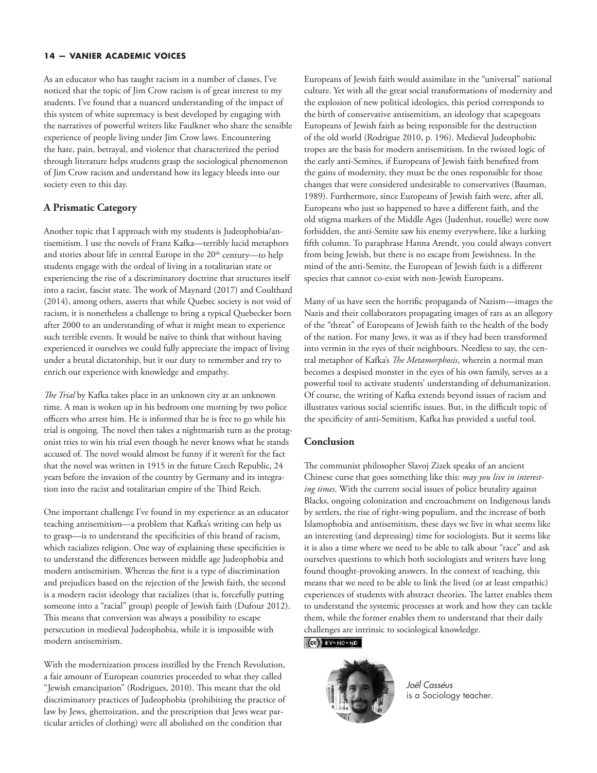As an educator who has taught racism in a number of classes, I've noticed that the topic of Jim Crow racism is of great interest to my students. I've found that a nuanced understanding of the impact of this system of white supremacy is best developed by engaging with the narratives of powerful writers like Faulkner who share the sensible experience of people living under Jim Crow laws. Encountering the hate, pain, betrayal, and violence that characterized the period through literature helps students grasp the sociological phenomenon of Jim Crow racism and understand how its legacy bleeds into our society even to this day.

#### **A Prismatic Category**

Another topic that I approach with my students is Judeophobia/antisemitism. I use the novels of Franz Kafka—terribly lucid metaphors and stories about life in central Europe in the 20<sup>th</sup> century—to help students engage with the ordeal of living in a totalitarian state or experiencing the rise of a discriminatory doctrine that structures itself into a racist, fascist state. The work of Maynard (2017) and Coulthard (2014), among others, asserts that while Quebec society is not void of racism, it is nonetheless a challenge to bring a typical Quebecker born after 2000 to an understanding of what it might mean to experience such terrible events. It would be naïve to think that without having experienced it ourselves we could fully appreciate the impact of living under a brutal dictatorship, but it our duty to remember and try to enrich our experience with knowledge and empathy.

*The Trial* by Kafka takes place in an unknown city at an unknown time. A man is woken up in his bedroom one morning by two police officers who arrest him. He is informed that he is free to go while his trial is ongoing. The novel then takes a nightmarish turn as the protagonist tries to win his trial even though he never knows what he stands accused of. The novel would almost be funny if it weren't for the fact that the novel was written in 1915 in the future Czech Republic, 24 years before the invasion of the country by Germany and its integration into the racist and totalitarian empire of the Third Reich.

One important challenge I've found in my experience as an educator teaching antisemitism—a problem that Kafka's writing can help us to grasp—is to understand the specificities of this brand of racism, which racializes religion. One way of explaining these specificities is to understand the differences between middle age Judeophobia and modern antisemitism. Whereas the first is a type of discrimination and prejudices based on the rejection of the Jewish faith, the second is a modern racist ideology that racializes (that is, forcefully putting someone into a "racial" group) people of Jewish faith (Dufour 2012). This means that conversion was always a possibility to escape persecution in medieval Judeophobia, while it is impossible with modern antisemitism.

With the modernization process instilled by the French Revolution, a fair amount of European countries proceeded to what they called "Jewish emancipation" (Rodrigues, 2010). This meant that the old discriminatory practices of Judeophobia (prohibiting the practice of law by Jews, ghettoization, and the prescription that Jews wear particular articles of clothing) were all abolished on the condition that

Europeans of Jewish faith would assimilate in the "universal" national culture. Yet with all the great social transformations of modernity and the explosion of new political ideologies, this period corresponds to the birth of conservative antisemitism, an ideology that scapegoats Europeans of Jewish faith as being responsible for the destruction of the old world (Rodrigue 2010, p. 196). Medieval Judeophobic tropes are the basis for modern antisemitism. In the twisted logic of the early anti-Semites, if Europeans of Jewish faith benefited from the gains of modernity, they must be the ones responsible for those changes that were considered undesirable to conservatives (Bauman, 1989). Furthermore, since Europeans of Jewish faith were, after all, Europeans who just so happened to have a different faith, and the old stigma markers of the Middle Ages (Judenhut, rouelle) were now forbidden, the anti-Semite saw his enemy everywhere, like a lurking fifth column. To paraphrase Hanna Arendt, you could always convert from being Jewish, but there is no escape from Jewishness. In the mind of the anti-Semite, the European of Jewish faith is a different species that cannot co-exist with non-Jewish Europeans.

Many of us have seen the horrific propaganda of Nazism—images the Nazis and their collaborators propagating images of rats as an allegory of the "threat" of Europeans of Jewish faith to the health of the body of the nation. For many Jews, it was as if they had been transformed into vermin in the eyes of their neighbours. Needless to say, the central metaphor of Kafka's *The Metamorphosis*, wherein a normal man becomes a despised monster in the eyes of his own family, serves as a powerful tool to activate students' understanding of dehumanization. Of course, the writing of Kafka extends beyond issues of racism and illustrates various social scientific issues. But, in the difficult topic of the specificity of anti-Semitism, Kafka has provided a useful tool.

#### **Conclusion**

The communist philosopher Slavoj Zizek speaks of an ancient Chinese curse that goes something like this: *may you live in interesting times*. With the current social issues of police brutality against Blacks, ongoing colonization and encroachment on Indigenous lands by settlers, the rise of right-wing populism, and the increase of both Islamophobia and antisemitism, these days we live in what seems like an interesting (and depressing) time for sociologists. But it seems like it is also a time where we need to be able to talk about "race" and ask ourselves questions to which both sociologists and writers have long found thought-provoking answers. In the context of teaching, this means that we need to be able to link the lived (or at least empathic) experiences of students with abstract theories. The latter enables them to understand the systemic processes at work and how they can tackle them, while the former enables them to understand that their daily challenges are intrinsic to sociological knowledge.

#### $(G)$  BY-NC-ND



*Joël Casséus*  is a Sociology teacher.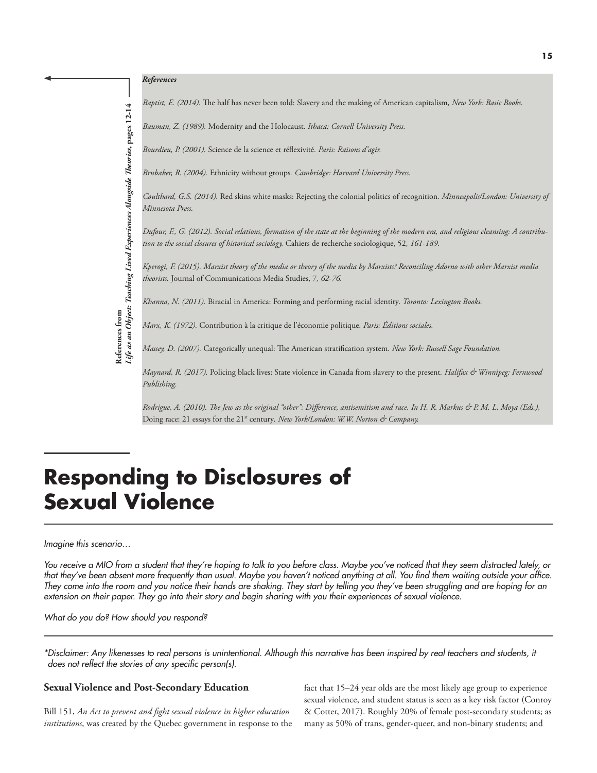

*Baptist, E. (2014).* The half has never been told: Slavery and the making of American capitalism*, New York: Basic Books.* 

*Bauman, Z. (1989).* Modernity and the Holocaust*. Ithaca: Cornell University Press.* 

*Bourdieu, P. (2001).* Science de la science et réflexivité*. Paris: Raisons d'agir.* 

*Brubaker, R. (2004).* Ethnicity without groups*. Cambridge: Harvard University Press.*

*Coulthard, G.S. (2014).* Red skins white masks: Rejecting the colonial politics of recognition*. Minneapolis/London: University of Minnesota Press.* 

*Dufour, F., G. (2012). Social relations, formation of the state at the beginning of the modern era, and religious cleansing: A contribution to the social closures of historical sociology.* Cahiers de recherche sociologique, 52*, 161-189.* 

*Kperogi, F. (2015). Marxist theory of the media or theory of the media by Marxists? Reconciling Adorno with other Marxist media theorists.* Journal of Communications Media Studies, 7*, 62-76.*

*Khanna, N. (2011).* Biracial in America: Forming and performing racial identity*. Toronto: Lexington Books.* 

*Marx, K. (1972).* Contribution à la critique de l'économie politique*. Paris: Éditions sociales.*

*Massey, D. (2007).* Categorically unequal: The American stratification system*. New York: Russell Sage Foundation.* 

*Maynard, R. (2017).* Policing black lives: State violence in Canada from slavery to the present*. Halifax & Winnipeg: Fernwood Publishing.* 

*Rodrigue, A. (2010). The Jew as the original "other": Difference, antisemitism and race. In H. R. Markus & P. M. L. Moya (Eds.),*  Doing race: 21 essays for the 21<sup>st</sup> century. New York/London: W.W. Norton & Company.

### **Responding to Disclosures of Sexual Violence**

#### *Imagine this scenario…*

*You receive a MIO from a student that they're hoping to talk to you before class. Maybe you've noticed that they seem distracted lately, or that they've been absent more frequently than usual. Maybe you haven't noticed anything at all. You find them waiting outside your office. They come into the room and you notice their hands are shaking. They start by telling you they've been struggling and are hoping for an extension on their paper. They go into their story and begin sharing with you their experiences of sexual violence.*

*What do you do? How should you respond?*

**References from**

References from<br>Life as an Object: Teaching Lived Experiences Alongside Theories, pages 12-14 *Life as an Object: Teaching Lived Experiences Alongside Theories***, pages 12-14**

*\*Disclaimer: Any likenesses to real persons is unintentional. Although this narrative has been inspired by real teachers and students, it does not reflect the stories of any specific person(s).*

#### **Sexual Violence and Post-Secondary Education**

Bill 151, *An Act to prevent and fight sexual violence in higher education institutions*, was created by the Quebec government in response to the fact that 15–24 year olds are the most likely age group to experience sexual violence, and student status is seen as a key risk factor (Conroy & Cotter, 2017). Roughly 20% of female post-secondary students; as many as 50% of trans, gender-queer, and non-binary students; and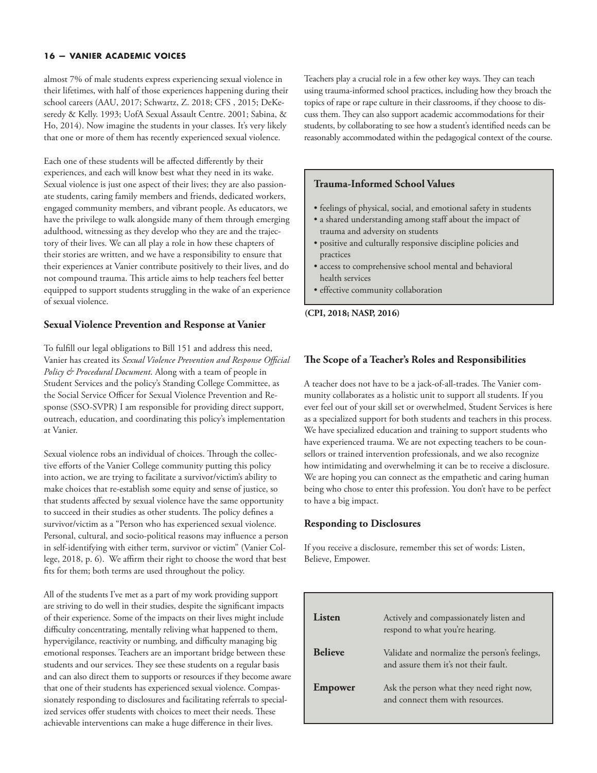almost 7% of male students express experiencing sexual violence in their lifetimes, with half of those experiences happening during their school careers (AAU, 2017; Schwartz, Z. 2018; CFS , 2015; DeKeseredy & Kelly. 1993; UofA Sexual Assault Centre. 2001; Sabina, & Ho, 2014). Now imagine the students in your classes. It's very likely that one or more of them has recently experienced sexual violence.

Each one of these students will be affected differently by their experiences, and each will know best what they need in its wake. Sexual violence is just one aspect of their lives; they are also passionate students, caring family members and friends, dedicated workers, engaged community members, and vibrant people. As educators, we have the privilege to walk alongside many of them through emerging adulthood, witnessing as they develop who they are and the trajectory of their lives. We can all play a role in how these chapters of their stories are written, and we have a responsibility to ensure that their experiences at Vanier contribute positively to their lives, and do not compound trauma. This article aims to help teachers feel better equipped to support students struggling in the wake of an experience of sexual violence.

#### **Sexual Violence Prevention and Response at Vanier**

To fulfill our legal obligations to Bill 151 and address this need, Vanier has created its *Sexual Violence Prevention and Response Official Policy & Procedural Document*. Along with a team of people in Student Services and the policy's Standing College Committee, as the Social Service Officer for Sexual Violence Prevention and Response (SSO-SVPR) I am responsible for providing direct support, outreach, education, and coordinating this policy's implementation at Vanier.

Sexual violence robs an individual of choices. Through the collective efforts of the Vanier College community putting this policy into action, we are trying to facilitate a survivor/victim's ability to make choices that re-establish some equity and sense of justice, so that students affected by sexual violence have the same opportunity to succeed in their studies as other students. The policy defines a survivor/victim as a "Person who has experienced sexual violence. Personal, cultural, and socio-political reasons may influence a person in self-identifying with either term, survivor or victim" (Vanier College, 2018, p. 6). We affirm their right to choose the word that best fits for them; both terms are used throughout the policy.

All of the students I've met as a part of my work providing support are striving to do well in their studies, despite the significant impacts of their experience. Some of the impacts on their lives might include difficulty concentrating, mentally reliving what happened to them, hypervigilance, reactivity or numbing, and difficulty managing big emotional responses. Teachers are an important bridge between these students and our services. They see these students on a regular basis and can also direct them to supports or resources if they become aware that one of their students has experienced sexual violence. Compassionately responding to disclosures and facilitating referrals to specialized services offer students with choices to meet their needs. These achievable interventions can make a huge difference in their lives.

Teachers play a crucial role in a few other key ways. They can teach using trauma-informed school practices, including how they broach the topics of rape or rape culture in their classrooms, if they choose to discuss them. They can also support academic accommodations for their students, by collaborating to see how a student's identified needs can be reasonably accommodated within the pedagogical context of the course.

#### **Trauma-Informed School Values**

- feelings of physical, social, and emotional safety in students
- a shared understanding among staff about the impact of trauma and adversity on students
- positive and culturally responsive discipline policies and practices
- access to comprehensive school mental and behavioral health services
- effective community collaboration

**(CPI, 2018; NASP, 2016)**

#### **The Scope of a Teacher's Roles and Responsibilities**

A teacher does not have to be a jack-of-all-trades. The Vanier community collaborates as a holistic unit to support all students. If you ever feel out of your skill set or overwhelmed, Student Services is here as a specialized support for both students and teachers in this process. We have specialized education and training to support students who have experienced trauma. We are not expecting teachers to be counsellors or trained intervention professionals, and we also recognize how intimidating and overwhelming it can be to receive a disclosure. We are hoping you can connect as the empathetic and caring human being who chose to enter this profession. You don't have to be perfect to have a big impact.

#### **Responding to Disclosures**

If you receive a disclosure, remember this set of words: Listen, Believe, Empower.

| Listen         | Actively and compassionately listen and<br>respond to what you're hearing.             |
|----------------|----------------------------------------------------------------------------------------|
| <b>Believe</b> | Validate and normalize the person's feelings,<br>and assure them it's not their fault. |
| Empower        | Ask the person what they need right now,<br>and connect them with resources.           |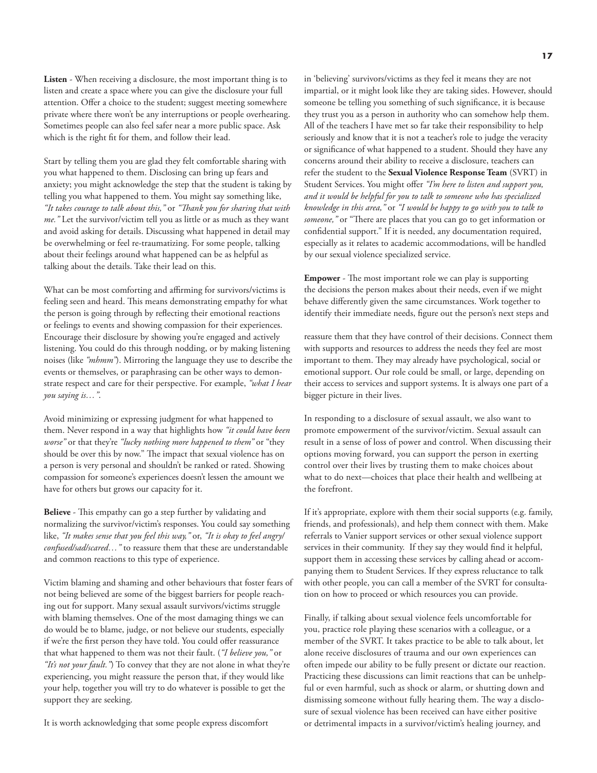**Listen** - When receiving a disclosure, the most important thing is to listen and create a space where you can give the disclosure your full attention. Offer a choice to the student; suggest meeting somewhere private where there won't be any interruptions or people overhearing. Sometimes people can also feel safer near a more public space. Ask which is the right fit for them, and follow their lead.

Start by telling them you are glad they felt comfortable sharing with you what happened to them. Disclosing can bring up fears and anxiety; you might acknowledge the step that the student is taking by telling you what happened to them. You might say something like, *"It takes courage to talk about this,"* or *"Thank you for sharing that with me."* Let the survivor/victim tell you as little or as much as they want and avoid asking for details. Discussing what happened in detail may be overwhelming or feel re-traumatizing. For some people, talking about their feelings around what happened can be as helpful as talking about the details. Take their lead on this.

What can be most comforting and affirming for survivors/victims is feeling seen and heard. This means demonstrating empathy for what the person is going through by reflecting their emotional reactions or feelings to events and showing compassion for their experiences. Encourage their disclosure by showing you're engaged and actively listening. You could do this through nodding, or by making listening noises (like *"mhmm"*). Mirroring the language they use to describe the events or themselves, or paraphrasing can be other ways to demonstrate respect and care for their perspective. For example, *"what I hear you saying is…"*.

Avoid minimizing or expressing judgment for what happened to them. Never respond in a way that highlights how *"it could have been worse"* or that they're *"lucky nothing more happened to them"* or "they should be over this by now." The impact that sexual violence has on a person is very personal and shouldn't be ranked or rated. Showing compassion for someone's experiences doesn't lessen the amount we have for others but grows our capacity for it.

**Believe** - This empathy can go a step further by validating and normalizing the survivor/victim's responses. You could say something like, *"It makes sense that you feel this way,"* or, *"It is okay to feel angry/ confused/sad/scared…"* to reassure them that these are understandable and common reactions to this type of experience.

Victim blaming and shaming and other behaviours that foster fears of not being believed are some of the biggest barriers for people reaching out for support. Many sexual assault survivors/victims struggle with blaming themselves. One of the most damaging things we can do would be to blame, judge, or not believe our students, especially if we're the first person they have told. You could offer reassurance that what happened to them was not their fault. (*"I believe you,"* or *"It's not your fault."*) To convey that they are not alone in what they're experiencing, you might reassure the person that, if they would like your help, together you will try to do whatever is possible to get the support they are seeking.

It is worth acknowledging that some people express discomfort

in 'believing' survivors/victims as they feel it means they are not impartial, or it might look like they are taking sides. However, should someone be telling you something of such significance, it is because they trust you as a person in authority who can somehow help them. All of the teachers I have met so far take their responsibility to help seriously and know that it is not a teacher's role to judge the veracity or significance of what happened to a student. Should they have any concerns around their ability to receive a disclosure, teachers can refer the student to the **Sexual Violence Response Team** (SVRT) in Student Services. You might offer "I'm here to listen and support you, *and it would be helpful for you to talk to someone who has specialized knowledge in this area,"* or *"I would be happy to go with you to talk to someone,"* or "There are places that you can go to get information or confidential support." If it is needed, any documentation required, especially as it relates to academic accommodations, will be handled by our sexual violence specialized service.

**Empower** - The most important role we can play is supporting the decisions the person makes about their needs, even if we might behave differently given the same circumstances. Work together to identify their immediate needs, figure out the person's next steps and

reassure them that they have control of their decisions. Connect them with supports and resources to address the needs they feel are most important to them. They may already have psychological, social or emotional support. Our role could be small, or large, depending on their access to services and support systems. It is always one part of a bigger picture in their lives.

In responding to a disclosure of sexual assault, we also want to promote empowerment of the survivor/victim. Sexual assault can result in a sense of loss of power and control. When discussing their options moving forward, you can support the person in exerting control over their lives by trusting them to make choices about what to do next—choices that place their health and wellbeing at the forefront.

If it's appropriate, explore with them their social supports (e.g. family, friends, and professionals), and help them connect with them. Make referrals to Vanier support services or other sexual violence support services in their community. If they say they would find it helpful, support them in accessing these services by calling ahead or accompanying them to Student Services. If they express reluctance to talk with other people, you can call a member of the SVRT for consultation on how to proceed or which resources you can provide.

Finally, if talking about sexual violence feels uncomfortable for you, practice role playing these scenarios with a colleague, or a member of the SVRT. It takes practice to be able to talk about, let alone receive disclosures of trauma and our own experiences can often impede our ability to be fully present or dictate our reaction. Practicing these discussions can limit reactions that can be unhelpful or even harmful, such as shock or alarm, or shutting down and dismissing someone without fully hearing them. The way a disclosure of sexual violence has been received can have either positive or detrimental impacts in a survivor/victim's healing journey, and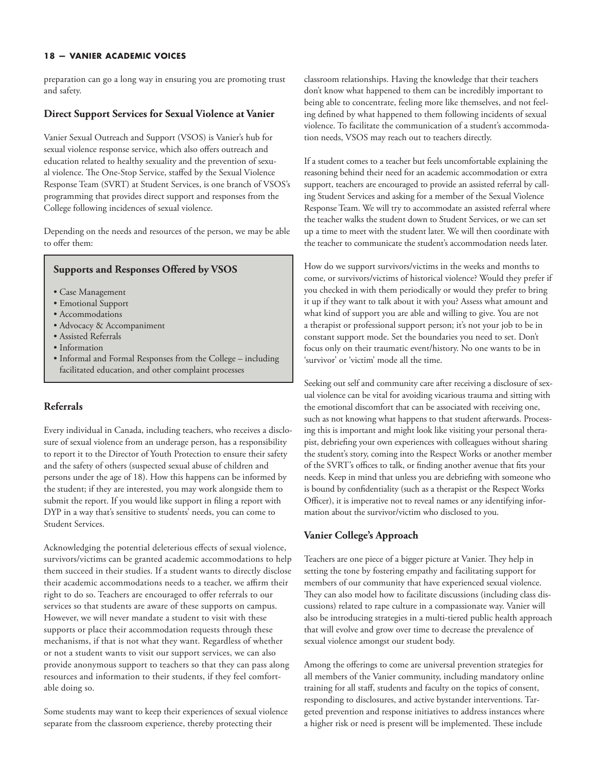preparation can go a long way in ensuring you are promoting trust and safety.

#### **Direct Support Services for Sexual Violence at Vanier**

Vanier Sexual Outreach and Support (VSOS) is Vanier's hub for sexual violence response service, which also offers outreach and education related to healthy sexuality and the prevention of sexual violence. The One-Stop Service, staffed by the Sexual Violence Response Team (SVRT) at Student Services, is one branch of VSOS's programming that provides direct support and responses from the College following incidences of sexual violence.

Depending on the needs and resources of the person, we may be able to offer them:

#### **Supports and Responses Offered by VSOS**

- Case Management
- Emotional Support
- Accommodations
- Advocacy & Accompaniment
- Assisted Referrals
- Information
- Informal and Formal Responses from the College including facilitated education, and other complaint processes

#### **Referrals**

Every individual in Canada, including teachers, who receives a disclosure of sexual violence from an underage person, has a responsibility to report it to the Director of Youth Protection to ensure their safety and the safety of others (suspected sexual abuse of children and persons under the age of 18). How this happens can be informed by the student; if they are interested, you may work alongside them to submit the report. If you would like support in filing a report with DYP in a way that's sensitive to students' needs, you can come to Student Services.

Acknowledging the potential deleterious effects of sexual violence, survivors/victims can be granted academic accommodations to help them succeed in their studies. If a student wants to directly disclose their academic accommodations needs to a teacher, we affirm their right to do so. Teachers are encouraged to offer referrals to our services so that students are aware of these supports on campus. However, we will never mandate a student to visit with these supports or place their accommodation requests through these mechanisms, if that is not what they want. Regardless of whether or not a student wants to visit our support services, we can also provide anonymous support to teachers so that they can pass along resources and information to their students, if they feel comfortable doing so.

Some students may want to keep their experiences of sexual violence separate from the classroom experience, thereby protecting their

classroom relationships. Having the knowledge that their teachers don't know what happened to them can be incredibly important to being able to concentrate, feeling more like themselves, and not feeling defined by what happened to them following incidents of sexual violence. To facilitate the communication of a student's accommodation needs, VSOS may reach out to teachers directly.

If a student comes to a teacher but feels uncomfortable explaining the reasoning behind their need for an academic accommodation or extra support, teachers are encouraged to provide an assisted referral by calling Student Services and asking for a member of the Sexual Violence Response Team. We will try to accommodate an assisted referral where the teacher walks the student down to Student Services, or we can set up a time to meet with the student later. We will then coordinate with the teacher to communicate the student's accommodation needs later.

How do we support survivors/victims in the weeks and months to come, or survivors/victims of historical violence? Would they prefer if you checked in with them periodically or would they prefer to bring it up if they want to talk about it with you? Assess what amount and what kind of support you are able and willing to give. You are not a therapist or professional support person; it's not your job to be in constant support mode. Set the boundaries you need to set. Don't focus only on their traumatic event/history. No one wants to be in 'survivor' or 'victim' mode all the time.

Seeking out self and community care after receiving a disclosure of sexual violence can be vital for avoiding vicarious trauma and sitting with the emotional discomfort that can be associated with receiving one, such as not knowing what happens to that student afterwards. Processing this is important and might look like visiting your personal therapist, debriefing your own experiences with colleagues without sharing the student's story, coming into the Respect Works or another member of the SVRT's offices to talk, or finding another avenue that fits your needs. Keep in mind that unless you are debriefing with someone who is bound by confidentiality (such as a therapist or the Respect Works Officer), it is imperative not to reveal names or any identifying information about the survivor/victim who disclosed to you.

#### **Vanier College's Approach**

Teachers are one piece of a bigger picture at Vanier. They help in setting the tone by fostering empathy and facilitating support for members of our community that have experienced sexual violence. They can also model how to facilitate discussions (including class discussions) related to rape culture in a compassionate way. Vanier will also be introducing strategies in a multi-tiered public health approach that will evolve and grow over time to decrease the prevalence of sexual violence amongst our student body.

Among the offerings to come are universal prevention strategies for all members of the Vanier community, including mandatory online training for all staff, students and faculty on the topics of consent, responding to disclosures, and active bystander interventions. Targeted prevention and response initiatives to address instances where a higher risk or need is present will be implemented. These include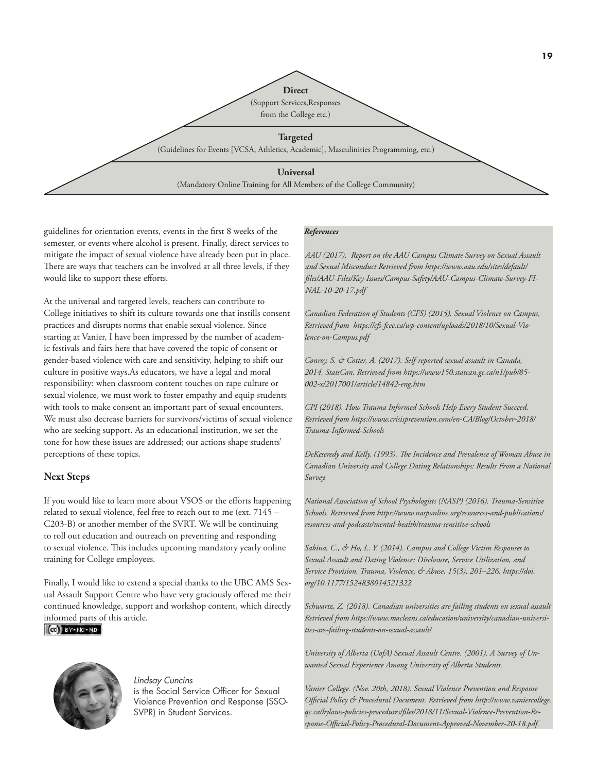

guidelines for orientation events, events in the first 8 weeks of the semester, or events where alcohol is present. Finally, direct services to mitigate the impact of sexual violence have already been put in place. There are ways that teachers can be involved at all three levels, if they would like to support these efforts.

At the universal and targeted levels, teachers can contribute to College initiatives to shift its culture towards one that instills consent practices and disrupts norms that enable sexual violence. Since starting at Vanier, I have been impressed by the number of academic festivals and fairs here that have covered the topic of consent or gender-based violence with care and sensitivity, helping to shift our culture in positive ways.As educators, we have a legal and moral responsibility: when classroom content touches on rape culture or sexual violence, we must work to foster empathy and equip students with tools to make consent an important part of sexual encounters. We must also decrease barriers for survivors/victims of sexual violence who are seeking support. As an educational institution, we set the tone for how these issues are addressed; our actions shape students' perceptions of these topics.

#### **Next Steps**

If you would like to learn more about VSOS or the efforts happening related to sexual violence, feel free to reach out to me (ext. 7145 – C203-B) or another member of the SVRT. We will be continuing to roll out education and outreach on preventing and responding to sexual violence. This includes upcoming mandatory yearly online training for College employees.

Finally, I would like to extend a special thanks to the UBC AMS Sexual Assault Support Centre who have very graciously offered me their continued knowledge, support and workshop content, which directly informed parts of this article.

 $\left( 60 \right)$  BY-NC-ND



#### *Lindsay Cuncins*  is the Social Service Officer for Sexual

Violence Prevention and Response (SSO-SVPR) in Student Services.

#### *References*

*AAU (2017). Report on the AAU Campus Climate Survey on Sexual Assault and Sexual Misconduct Retrieved from [https://www.aau.edu/sites/default/](https://www.aau.edu/sites/default/files/AAU-Files/Key-Issues/Campus-Safety/AAU-Campus-Climate-Survey-FINAL-10-20-17.pdf) [files/AAU-Files/Key-Issues/Campus-Safety/AAU-Campus-Climate-Survey-FI-](https://www.aau.edu/sites/default/files/AAU-Files/Key-Issues/Campus-Safety/AAU-Campus-Climate-Survey-FINAL-10-20-17.pdf)[NAL-10-20-17.pdf](https://www.aau.edu/sites/default/files/AAU-Files/Key-Issues/Campus-Safety/AAU-Campus-Climate-Survey-FINAL-10-20-17.pdf)* 

*Canadian Federation of Students (CFS) (2015). Sexual Violence on Campus, Retrieved from [https://cfs-fcee.ca/wp-content/uploads/2018/10/Sexual-Vio](https://cfs-fcee.ca/wp-content/uploads/2018/10/Sexual-Violence-on-Campus.pdf)[lence-on-Campus.pdf](https://cfs-fcee.ca/wp-content/uploads/2018/10/Sexual-Violence-on-Campus.pdf)*

*Conroy, S. & Cotter, A. (2017). Self-reported sexual assault in Canada, 2014. StatsCan. Retrieved fro[m https://www150.statcan.gc.ca/n1/pub/85-](https://www150.statcan.gc.ca/n1/pub/85-002-x/2017001/article/14842-eng.htm) [002-x/2017001/article/14842-eng.htm](https://www150.statcan.gc.ca/n1/pub/85-002-x/2017001/article/14842-eng.htm)* 

*CPI (2018). How Trauma Informed Schools Help Every Student Succeed. Retrieved from [https://www.crisisprevention.com/en-CA/Blog/October-2018/](https://www.crisisprevention.com/en-CA/Blog/October-2018/Trauma-Informed-Schools) [Trauma-Informed-Schools](https://www.crisisprevention.com/en-CA/Blog/October-2018/Trauma-Informed-Schools)*

*DeKeseredy and Kelly. (1993). The Incidence and Prevalence of Woman Abuse in Canadian University and College Dating Relationships: Results From a National Survey.*

*National Association of School Psychologists (NASP) (2016). Trauma-Sensitive Schools. Retrieved fro[m https://www.nasponline.org/resources-and-publications/](https://www.nasponline.org/resources-and-publications/resources-and-podcasts/mental-health/trauma-sensitive-schools) [resources-and-podcasts/mental-health/trauma-sensitive-schools](https://www.nasponline.org/resources-and-publications/resources-and-podcasts/mental-health/trauma-sensitive-schools)*

*Sabina, C., & Ho, L. Y. (2014). Campus and College Victim Responses to Sexual Assault and Dating Violence: Disclosure, Service Utilization, and Service Provision. Trauma, Violence, & Abuse, 15(3), 201–226. [https://doi.](https://doi.org/10.1177/1524838014521322) [org/10.1177/1524838014521322](https://doi.org/10.1177/1524838014521322)*

*Schwartz, Z. (2018). Canadian universities are failing students on sexual assault Retrieved from [https://www.macleans.ca/education/university/canadian-universi](https://www.macleans.ca/education/university/canadian-universities-are-failing-students-on-sexual-assault/)[ties-are-failing-students-on-sexual-assault/](https://www.macleans.ca/education/university/canadian-universities-are-failing-students-on-sexual-assault/)*

*University of Alberta (UofA) Sexual Assault Centre. (2001). A Survey of Unwanted Sexual Experience Among University of Alberta Students.* 

*Vanier College. (Nov. 20th, 2018). Sexual Violence Prevention and Response Official Policy & Procedural Document. Retrieved fro[m http://www.vaniercollege.](http://www.vaniercollege.qc.ca/bylaws-policies-procedures/files/2018/11/Sexual-Violence-Prevention-Response-Official-Policy-Procedural-Document-Approved-November-20-18.pdf) [qc.ca/bylaws-policies-procedures/files/2018/11/Sexual-Violence-Prevention-Re](http://www.vaniercollege.qc.ca/bylaws-policies-procedures/files/2018/11/Sexual-Violence-Prevention-Response-Official-Policy-Procedural-Document-Approved-November-20-18.pdf)[sponse-Official-Policy-Procedural-Document-Approved-November-20-18.pdf.](http://www.vaniercollege.qc.ca/bylaws-policies-procedures/files/2018/11/Sexual-Violence-Prevention-Response-Official-Policy-Procedural-Document-Approved-November-20-18.pdf)*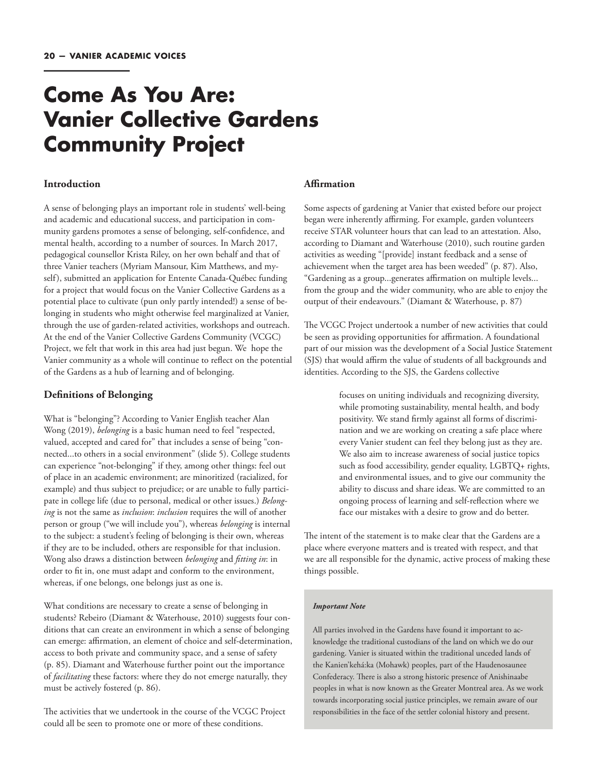### **Come As You Are: Vanier Collective Gardens Community Project**

#### **Introduction**

A sense of belonging plays an important role in students' well-being and academic and educational success, and participation in community gardens promotes a sense of belonging, self-confidence, and mental health, according to a number of sources. In March 2017, pedagogical counsellor Krista Riley, on her own behalf and that of three Vanier teachers (Myriam Mansour, Kim Matthews, and myself), submitted an application for Entente Canada-Québec funding for a project that would focus on the Vanier Collective Gardens as a potential place to cultivate (pun only partly intended!) a sense of belonging in students who might otherwise feel marginalized at Vanier, through the use of garden-related activities, workshops and outreach. At the end of the Vanier Collective Gardens Community (VCGC) Project, we felt that work in this area had just begun. We hope the Vanier community as a whole will continue to reflect on the potential of the Gardens as a hub of learning and of belonging.

#### **Definitions of Belonging**

What is "belonging"? According to Vanier English teacher Alan Wong (2019), *belonging* is a basic human need to feel "respected, valued, accepted and cared for" that includes a sense of being "connected...to others in a social environment" (slide 5). College students can experience "not-belonging" if they, among other things: feel out of place in an academic environment; are minoritized (racialized, for example) and thus subject to prejudice; or are unable to fully participate in college life (due to personal, medical or other issues.) *Belonging* is not the same as *inclusion*: *inclusion* requires the will of another person or group ("we will include you"), whereas *belonging* is internal to the subject: a student's feeling of belonging is their own, whereas if they are to be included, others are responsible for that inclusion. Wong also draws a distinction between *belonging* and *fitting in*: in order to fit in, one must adapt and conform to the environment, whereas, if one belongs, one belongs just as one is.

What conditions are necessary to create a sense of belonging in students? Rebeiro (Diamant & Waterhouse, 2010) suggests four conditions that can create an environment in which a sense of belonging can emerge: affirmation, an element of choice and self-determination, access to both private and community space, and a sense of safety (p. 85). Diamant and Waterhouse further point out the importance of *facilitating* these factors: where they do not emerge naturally, they must be actively fostered (p. 86).

The activities that we undertook in the course of the VCGC Project could all be seen to promote one or more of these conditions.

#### **Affirmation**

Some aspects of gardening at Vanier that existed before our project began were inherently affirming. For example, garden volunteers receive STAR volunteer hours that can lead to an attestation. Also, according to Diamant and Waterhouse (2010), such routine garden activities as weeding "[provide] instant feedback and a sense of achievement when the target area has been weeded" (p. 87). Also, "Gardening as a group...generates affirmation on multiple levels... from the group and the wider community, who are able to enjoy the output of their endeavours." (Diamant & Waterhouse, p. 87)

The VCGC Project undertook a number of new activities that could be seen as providing opportunities for affirmation. A foundational part of our mission was the development of a Social Justice Statement (SJS) that would affirm the value of students of all backgrounds and identities. According to the SJS, the Gardens collective

> focuses on uniting individuals and recognizing diversity, while promoting sustainability, mental health, and body positivity. We stand firmly against all forms of discrimination and we are working on creating a safe place where every Vanier student can feel they belong just as they are. We also aim to increase awareness of social justice topics such as food accessibility, gender equality, LGBTQ+ rights, and environmental issues, and to give our community the ability to discuss and share ideas. We are committed to an ongoing process of learning and self-reflection where we face our mistakes with a desire to grow and do better.

The intent of the statement is to make clear that the Gardens are a place where everyone matters and is treated with respect, and that we are all responsible for the dynamic, active process of making these things possible.

#### *Important Note*

All parties involved in the Gardens have found it important to acknowledge the traditional custodians of the land on which we do our gardening. Vanier is situated within the traditional unceded lands of the Kanien'kehá:ka (Mohawk) peoples, part of the Haudenosaunee Confederacy. There is also a strong historic presence of Anishinaabe peoples in what is now known as the Greater Montreal area. As we work towards incorporating social justice principles, we remain aware of our responsibilities in the face of the settler colonial history and present.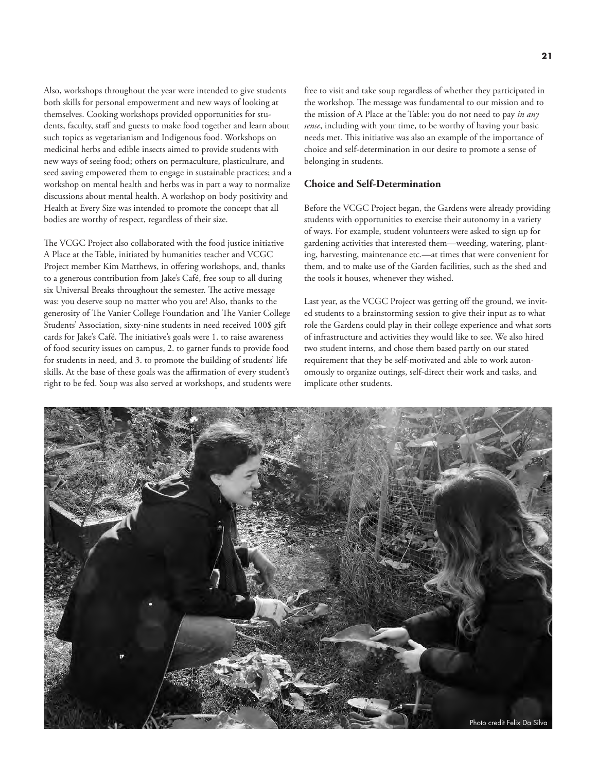Also, workshops throughout the year were intended to give students both skills for personal empowerment and new ways of looking at themselves. Cooking workshops provided opportunities for students, faculty, staff and guests to make food together and learn about such topics as vegetarianism and Indigenous food. Workshops on medicinal herbs and edible insects aimed to provide students with new ways of seeing food; others on permaculture, plasticulture, and seed saving empowered them to engage in sustainable practices; and a workshop on mental health and herbs was in part a way to normalize discussions about mental health. A workshop on body positivity and Health at Every Size was intended to promote the concept that all bodies are worthy of respect, regardless of their size.

The VCGC Project also collaborated with the food justice initiative A Place at the Table, initiated by humanities teacher and VCGC Project member Kim Matthews, in offering workshops, and, thanks to a generous contribution from Jake's Café, free soup to all during six Universal Breaks throughout the semester. The active message was: you deserve soup no matter who you are! Also, thanks to the generosity of The Vanier College Foundation and The Vanier College Students' Association, sixty-nine students in need received 100\$ gift cards for Jake's Café. The initiative's goals were 1. to raise awareness of food security issues on campus, 2. to garner funds to provide food for students in need, and 3. to promote the building of students' life skills. At the base of these goals was the affirmation of every student's right to be fed. Soup was also served at workshops, and students were

free to visit and take soup regardless of whether they participated in the workshop. The message was fundamental to our mission and to the mission of A Place at the Table: you do not need to pay *in any sense*, including with your time, to be worthy of having your basic needs met. This initiative was also an example of the importance of choice and self-determination in our desire to promote a sense of belonging in students.

#### **Choice and Self-Determination**

Before the VCGC Project began, the Gardens were already providing students with opportunities to exercise their autonomy in a variety of ways. For example, student volunteers were asked to sign up for gardening activities that interested them—weeding, watering, planting, harvesting, maintenance etc.—at times that were convenient for them, and to make use of the Garden facilities, such as the shed and the tools it houses, whenever they wished.

Last year, as the VCGC Project was getting off the ground, we invited students to a brainstorming session to give their input as to what role the Gardens could play in their college experience and what sorts of infrastructure and activities they would like to see. We also hired two student interns, and chose them based partly on our stated requirement that they be self-motivated and able to work autonomously to organize outings, self-direct their work and tasks, and implicate other students.

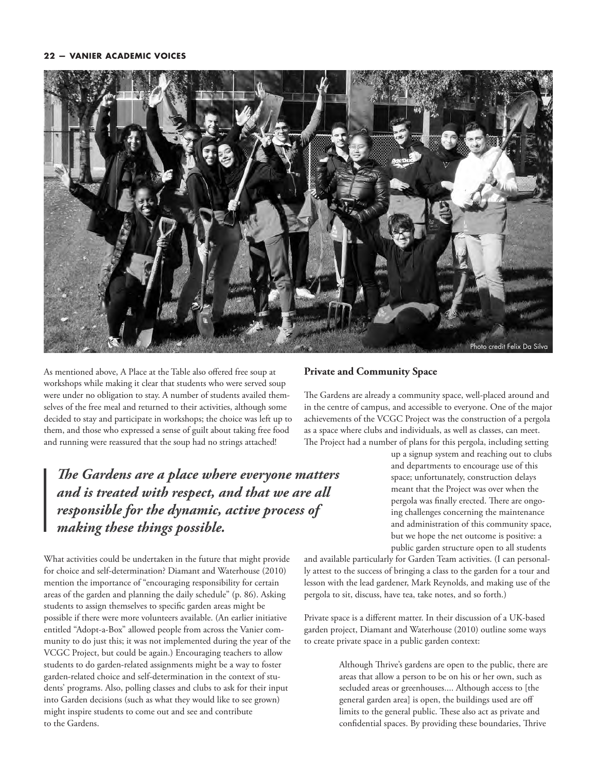

As mentioned above, A Place at the Table also offered free soup at workshops while making it clear that students who were served soup were under no obligation to stay. A number of students availed themselves of the free meal and returned to their activities, although some decided to stay and participate in workshops; the choice was left up to them, and those who expressed a sense of guilt about taking free food and running were reassured that the soup had no strings attached!

*The Gardens are a place where everyone matters and is treated with respect, and that we are all responsible for the dynamic, active process of making these things possible.* 

What activities could be undertaken in the future that might provide for choice and self-determination? Diamant and Waterhouse (2010) mention the importance of "encouraging responsibility for certain areas of the garden and planning the daily schedule" (p. 86). Asking students to assign themselves to specific garden areas might be possible if there were more volunteers available. (An earlier initiative entitled "Adopt-a-Box" allowed people from across the Vanier community to do just this; it was not implemented during the year of the VCGC Project, but could be again.) Encouraging teachers to allow students to do garden-related assignments might be a way to foster garden-related choice and self-determination in the context of students' programs. Also, polling classes and clubs to ask for their input into Garden decisions (such as what they would like to see grown) might inspire students to come out and see and contribute to the Gardens.

#### **Private and Community Space**

The Gardens are already a community space, well-placed around and in the centre of campus, and accessible to everyone. One of the major achievements of the VCGC Project was the construction of a pergola as a space where clubs and individuals, as well as classes, can meet. The Project had a number of plans for this pergola, including setting

> up a signup system and reaching out to clubs and departments to encourage use of this space; unfortunately, construction delays meant that the Project was over when the pergola was finally erected. There are ongoing challenges concerning the maintenance and administration of this community space, but we hope the net outcome is positive: a public garden structure open to all students

and available particularly for Garden Team activities. (I can personally attest to the success of bringing a class to the garden for a tour and lesson with the lead gardener, Mark Reynolds, and making use of the pergola to sit, discuss, have tea, take notes, and so forth.)

Private space is a different matter. In their discussion of a UK-based garden project, Diamant and Waterhouse (2010) outline some ways to create private space in a public garden context:

> Although Thrive's gardens are open to the public, there are areas that allow a person to be on his or her own, such as secluded areas or greenhouses.... Although access to [the general garden area] is open, the buildings used are off limits to the general public. These also act as private and confidential spaces. By providing these boundaries, Thrive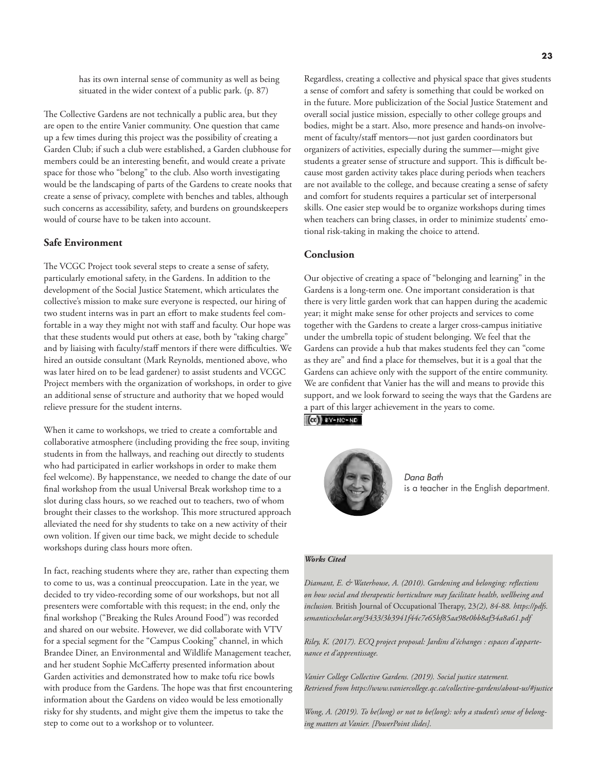has its own internal sense of community as well as being situated in the wider context of a public park. (p. 87)

The Collective Gardens are not technically a public area, but they are open to the entire Vanier community. One question that came up a few times during this project was the possibility of creating a Garden Club; if such a club were established, a Garden clubhouse for members could be an interesting benefit, and would create a private space for those who "belong" to the club. Also worth investigating would be the landscaping of parts of the Gardens to create nooks that create a sense of privacy, complete with benches and tables, although such concerns as accessibility, safety, and burdens on groundskeepers would of course have to be taken into account.

#### **Safe Environment**

The VCGC Project took several steps to create a sense of safety, particularly emotional safety, in the Gardens. In addition to the development of the Social Justice Statement, which articulates the collective's mission to make sure everyone is respected, our hiring of two student interns was in part an effort to make students feel comfortable in a way they might not with staff and faculty. Our hope was that these students would put others at ease, both by "taking charge" and by liaising with faculty/staff mentors if there were difficulties. We hired an outside consultant (Mark Reynolds, mentioned above, who was later hired on to be lead gardener) to assist students and VCGC Project members with the organization of workshops, in order to give an additional sense of structure and authority that we hoped would relieve pressure for the student interns.

When it came to workshops, we tried to create a comfortable and collaborative atmosphere (including providing the free soup, inviting students in from the hallways, and reaching out directly to students who had participated in earlier workshops in order to make them feel welcome). By happenstance, we needed to change the date of our final workshop from the usual Universal Break workshop time to a slot during class hours, so we reached out to teachers, two of whom brought their classes to the workshop. This more structured approach alleviated the need for shy students to take on a new activity of their own volition. If given our time back, we might decide to schedule workshops during class hours more often.

In fact, reaching students where they are, rather than expecting them to come to us, was a continual preoccupation. Late in the year, we decided to try video-recording some of our workshops, but not all presenters were comfortable with this request; in the end, only the final workshop ("Breaking the Rules Around Food") was recorded and shared on our website. However, we did collaborate with VTV for a special segment for the "Campus Cooking" channel, in which Brandee Diner, an Environmental and Wildlife Management teacher, and her student Sophie McCafferty presented information about Garden activities and demonstrated how to make tofu rice bowls with produce from the Gardens. The hope was that first encountering information about the Gardens on video would be less emotionally risky for shy students, and might give them the impetus to take the step to come out to a workshop or to volunteer.

Regardless, creating a collective and physical space that gives students a sense of comfort and safety is something that could be worked on in the future. More publicization of the Social Justice Statement and overall social justice mission, especially to other college groups and bodies, might be a start. Also, more presence and hands-on involvement of faculty/staff mentors—not just garden coordinators but organizers of activities, especially during the summer—might give students a greater sense of structure and support. This is difficult because most garden activity takes place during periods when teachers are not available to the college, and because creating a sense of safety and comfort for students requires a particular set of interpersonal skills. One easier step would be to organize workshops during times when teachers can bring classes, in order to minimize students' emotional risk-taking in making the choice to attend.

#### **Conclusion**

Our objective of creating a space of "belonging and learning" in the Gardens is a long-term one. One important consideration is that there is very little garden work that can happen during the academic year; it might make sense for other projects and services to come together with the Gardens to create a larger cross-campus initiative under the umbrella topic of student belonging. We feel that the Gardens can provide a hub that makes students feel they can "come as they are" and find a place for themselves, but it is a goal that the Gardens can achieve only with the support of the entire community. We are confident that Vanier has the will and means to provide this support, and we look forward to seeing the ways that the Gardens are a part of this larger achievement in the years to come.





*Dana Bath*  is a teacher in the English department.

#### *Works Cited*

*Diamant, E. & Waterhouse, A. (2010). Gardening and belonging: reflections on how social and therapeutic horticulture may facilitate health, wellbeing and inclusion.* British Journal of Occupational Therapy, 23*(2), 84-88. [https://pdfs.](https://pdfs.semanticscholar.org/3433/3b3941f44c7e65bf85aa98e0bb8af34a8a61.pdf) [semanticscholar.org/3433/3b3941f44c7e65bf85aa98e0bb8af34a8a61.pdf](https://pdfs.semanticscholar.org/3433/3b3941f44c7e65bf85aa98e0bb8af34a8a61.pdf)*

*Riley, K. (2017). ECQ project proposal: Jardins d'échanges : espaces d'appartenance et d'apprentissage.* 

*Vanier College Collective Gardens. (2019). Social justice statement. Retrieved from<https://www.vaniercollege.qc.ca/collective-gardens/about-us/#justice>*

*Wong, A. (2019). To be(long) or not to be(long): why a student's sense of belonging matters at Vanier. [PowerPoint slides].*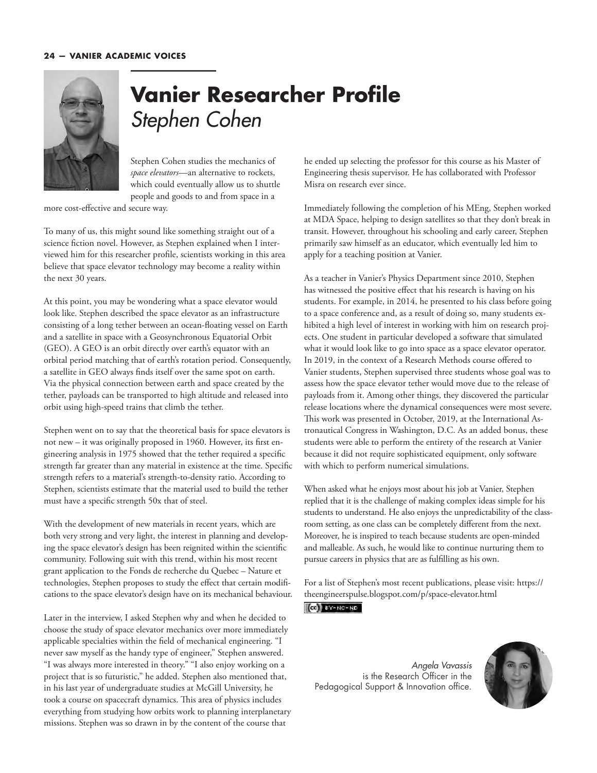

# **Vanier Researcher Profile**  Stephen Cohen

Stephen Cohen studies the mechanics of *space elevators*—an alternative to rockets, which could eventually allow us to shuttle people and goods to and from space in a

more cost-effective and secure way.

To many of us, this might sound like something straight out of a science fiction novel. However, as Stephen explained when I interviewed him for this researcher profile, scientists working in this area believe that space elevator technology may become a reality within the next 30 years.

At this point, you may be wondering what a space elevator would look like. Stephen described the space elevator as an infrastructure consisting of a long tether between an ocean-floating vessel on Earth and a satellite in space with a Geosynchronous Equatorial Orbit (GEO). A GEO is an orbit directly over earth's equator with an orbital period matching that of earth's rotation period. Consequently, a satellite in GEO always finds itself over the same spot on earth. Via the physical connection between earth and space created by the tether, payloads can be transported to high altitude and released into orbit using high-speed trains that climb the tether.

Stephen went on to say that the theoretical basis for space elevators is not new – it was originally proposed in 1960. However, its first engineering analysis in 1975 showed that the tether required a specific strength far greater than any material in existence at the time. Specific strength refers to a material's strength-to-density ratio. According to Stephen, scientists estimate that the material used to build the tether must have a specific strength 50x that of steel.

With the development of new materials in recent years, which are both very strong and very light, the interest in planning and developing the space elevator's design has been reignited within the scientific community. Following suit with this trend, within his most recent grant application to the Fonds de recherche du Quebec – Nature et technologies, Stephen proposes to study the effect that certain modifications to the space elevator's design have on its mechanical behaviour.

Later in the interview, I asked Stephen why and when he decided to choose the study of space elevator mechanics over more immediately applicable specialties within the field of mechanical engineering. "I never saw myself as the handy type of engineer," Stephen answered. "I was always more interested in theory." "I also enjoy working on a project that is so futuristic," he added. Stephen also mentioned that, in his last year of undergraduate studies at McGill University, he took a course on spacecraft dynamics. This area of physics includes everything from studying how orbits work to planning interplanetary missions. Stephen was so drawn in by the content of the course that

he ended up selecting the professor for this course as his Master of Engineering thesis supervisor. He has collaborated with Professor Misra on research ever since.

Immediately following the completion of his MEng, Stephen worked at MDA Space, helping to design satellites so that they don't break in transit. However, throughout his schooling and early career, Stephen primarily saw himself as an educator, which eventually led him to apply for a teaching position at Vanier.

As a teacher in Vanier's Physics Department since 2010, Stephen has witnessed the positive effect that his research is having on his students. For example, in 2014, he presented to his class before going to a space conference and, as a result of doing so, many students exhibited a high level of interest in working with him on research projects. One student in particular developed a software that simulated what it would look like to go into space as a space elevator operator. In 2019, in the context of a Research Methods course offered to Vanier students, Stephen supervised three students whose goal was to assess how the space elevator tether would move due to the release of payloads from it. Among other things, they discovered the particular release locations where the dynamical consequences were most severe. This work was presented in October, 2019, at the International Astronautical Congress in Washington, D.C. As an added bonus, these students were able to perform the entirety of the research at Vanier because it did not require sophisticated equipment, only software with which to perform numerical simulations.

When asked what he enjoys most about his job at Vanier, Stephen replied that it is the challenge of making complex ideas simple for his students to understand. He also enjoys the unpredictability of the classroom setting, as one class can be completely different from the next. Moreover, he is inspired to teach because students are open-minded and malleable. As such, he would like to continue nurturing them to pursue careers in physics that are as fulfilling as his own.

For a list of Stephen's most recent publications, please visit: [https://](https://theengineerspulse.blogspot.com/p/space-elevator.html) [theengineerspulse.blogspot.com/p/space-elevator.html](https://theengineerspulse.blogspot.com/p/space-elevator.html) $(G)$  BY-NC-ND

*Angela Vavassis* is the Research Officer in the Pedagogical Support & Innovation office.

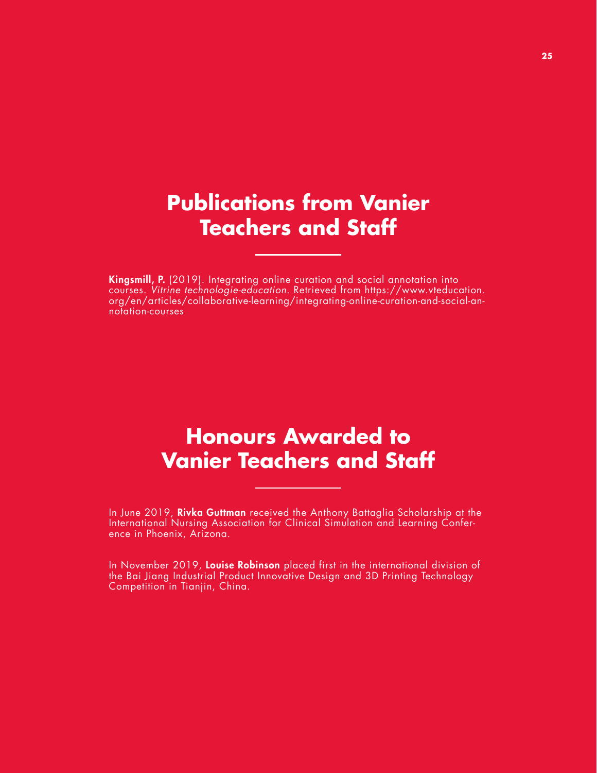### **Publications from Vanier Teachers and Staff**

Kingsmill, P. (2019). Integrating online curation and social annotation into courses. Vitrine technologie-education. Retrieved from [https://www.vteducation.](https://www.vteducation.org/en/articles/collaborative-learning/integrating-online-curation-and-social-annotation-courses) [org/en/articles/collaborative-learning/integrating-online-curation-and-social-an](https://www.vteducation.org/en/articles/collaborative-learning/integrating-online-curation-and-social-annotation-courses)[notation-courses](https://www.vteducation.org/en/articles/collaborative-learning/integrating-online-curation-and-social-annotation-courses) 

### **Honours Awarded to Vanier Teachers and Staff**

In June 2019, Rivka Guttman received the Anthony Battaglia Scholarship at the International Nursing Association for Clinical Simulation and Learning Conference in Phoenix, Arizona.

In November 2019, Louise Robinson placed first in the international division of the Bai Jiang Industrial Product Innovative Design and 3D Printing Technology Competition in Tianjin, China.